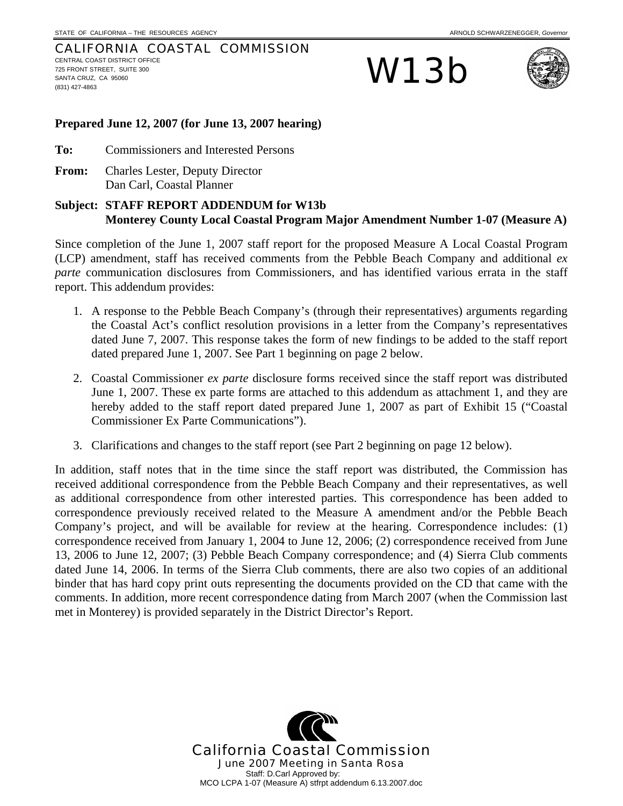### CALIFORNIA COASTAL COMMISSION CENTRAL COAST DISTRICT OFFICE 725 FRONT STREET, SUITE 300 SANTA CRUZ, CA 95060 (831) 427-4863

W13b



### **Prepared June 12, 2007 (for June 13, 2007 hearing)**

- **To:** Commissioners and Interested Persons
- **From:** Charles Lester, Deputy Director Dan Carl, Coastal Planner

### **Subject: STAFF REPORT ADDENDUM for W13b Monterey County Local Coastal Program Major Amendment Number 1-07 (Measure A)**

Since completion of the June 1, 2007 staff report for the proposed Measure A Local Coastal Program (LCP) amendment, staff has received comments from the Pebble Beach Company and additional *ex parte* communication disclosures from Commissioners, and has identified various errata in the staff report. This addendum provides:

- 1. A response to the Pebble Beach Company's (through their representatives) arguments regarding the Coastal Act's conflict resolution provisions in a letter from the Company's representatives dated June 7, 2007. This response takes the form of new findings to be added to the staff report dated prepared June 1, 2007. See Part 1 beginning on page 2 below.
- 2. Coastal Commissioner *ex parte* disclosure forms received since the staff report was distributed June 1, 2007. These ex parte forms are attached to this addendum as attachment 1, and they are hereby added to the staff report dated prepared June 1, 2007 as part of Exhibit 15 ("Coastal Commissioner Ex Parte Communications").
- 3. Clarifications and changes to the staff report (see Part 2 beginning on page 12 below).

In addition, staff notes that in the time since the staff report was distributed, the Commission has received additional correspondence from the Pebble Beach Company and their representatives, as well as additional correspondence from other interested parties. This correspondence has been added to correspondence previously received related to the Measure A amendment and/or the Pebble Beach Company's project, and will be available for review at the hearing. Correspondence includes: (1) correspondence received from January 1, 2004 to June 12, 2006; (2) correspondence received from June 13, 2006 to June 12, 2007; (3) Pebble Beach Company correspondence; and (4) Sierra Club comments dated June 14, 2006. In terms of the Sierra Club comments, there are also two copies of an additional binder that has hard copy print outs representing the documents provided on the CD that came with the comments. In addition, more recent correspondence dating from March 2007 (when the Commission last met in Monterey) is provided separately in the District Director's Report.

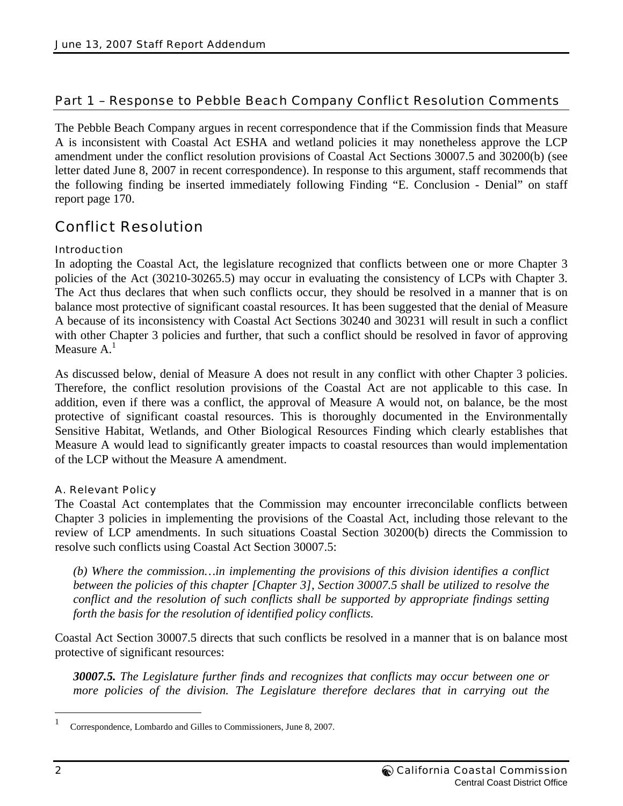### Part 1 – Response to Pebble Beach Company Conflict Resolution Comments

The Pebble Beach Company argues in recent correspondence that if the Commission finds that Measure A is inconsistent with Coastal Act ESHA and wetland policies it may nonetheless approve the LCP amendment under the conflict resolution provisions of Coastal Act Sections 30007.5 and 30200(b) (see letter dated June 8, 2007 in recent correspondence). In response to this argument, staff recommends that the following finding be inserted immediately following Finding "E. Conclusion - Denial" on staff report page 170.

### Conflict Resolution

### Introduction

In adopting the Coastal Act, the legislature recognized that conflicts between one or more Chapter 3 policies of the Act (30210-30265.5) may occur in evaluating the consistency of LCPs with Chapter 3. The Act thus declares that when such conflicts occur, they should be resolved in a manner that is on balance most protective of significant coastal resources. It has been suggested that the denial of Measure A because of its inconsistency with Coastal Act Sections 30240 and 30231 will result in such a conflict with other Chapter 3 policies and further, that such a conflict should be resolved in favor of approving Measure  $A<sup>1</sup>$ 

As discussed below, denial of Measure A does not result in any conflict with other Chapter 3 policies. Therefore, the conflict resolution provisions of the Coastal Act are not applicable to this case. In addition, even if there was a conflict, the approval of Measure A would not, on balance, be the most protective of significant coastal resources. This is thoroughly documented in the Environmentally Sensitive Habitat, Wetlands, and Other Biological Resources Finding which clearly establishes that Measure A would lead to significantly greater impacts to coastal resources than would implementation of the LCP without the Measure A amendment.

### A. Relevant Policy

The Coastal Act contemplates that the Commission may encounter irreconcilable conflicts between Chapter 3 policies in implementing the provisions of the Coastal Act, including those relevant to the review of LCP amendments. In such situations Coastal Section 30200(b) directs the Commission to resolve such conflicts using Coastal Act Section 30007.5:

*(b) Where the commission…in implementing the provisions of this division identifies a conflict between the policies of this chapter [Chapter 3], Section 30007.5 shall be utilized to resolve the conflict and the resolution of such conflicts shall be supported by appropriate findings setting forth the basis for the resolution of identified policy conflicts.* 

Coastal Act Section 30007.5 directs that such conflicts be resolved in a manner that is on balance most protective of significant resources:

*30007.5. The Legislature further finds and recognizes that conflicts may occur between one or more policies of the division. The Legislature therefore declares that in carrying out the* 

 $\overline{a}$ 

<sup>1</sup> Correspondence, Lombardo and Gilles to Commissioners, June 8, 2007.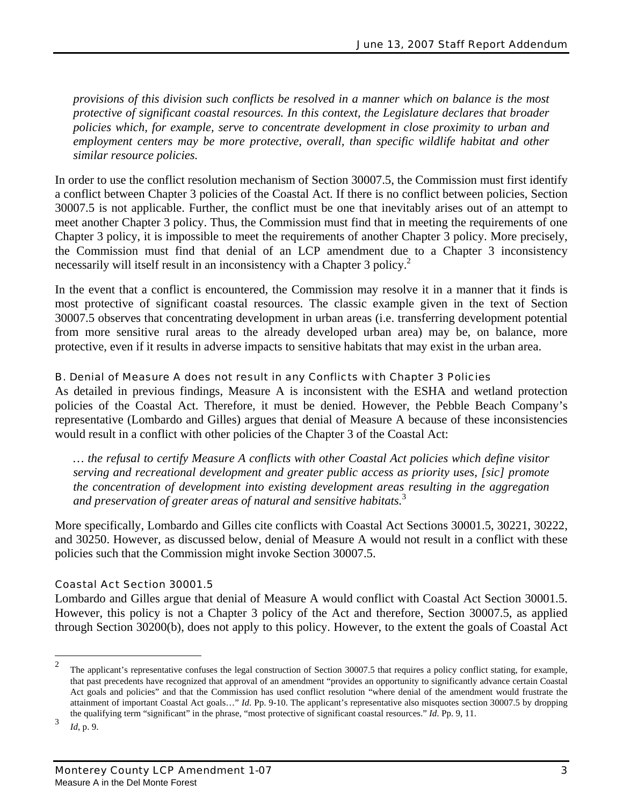*provisions of this division such conflicts be resolved in a manner which on balance is the most protective of significant coastal resources. In this context, the Legislature declares that broader policies which, for example, serve to concentrate development in close proximity to urban and employment centers may be more protective, overall, than specific wildlife habitat and other similar resource policies.* 

In order to use the conflict resolution mechanism of Section 30007.5, the Commission must first identify a conflict between Chapter 3 policies of the Coastal Act. If there is no conflict between policies, Section 30007.5 is not applicable. Further, the conflict must be one that inevitably arises out of an attempt to meet another Chapter 3 policy. Thus, the Commission must find that in meeting the requirements of one Chapter 3 policy, it is impossible to meet the requirements of another Chapter 3 policy. More precisely, the Commission must find that denial of an LCP amendment due to a Chapter 3 inconsistency necessarily will itself result in an inconsistency with a Chapter 3 policy.<sup>2</sup>

In the event that a conflict is encountered, the Commission may resolve it in a manner that it finds is most protective of significant coastal resources. The classic example given in the text of Section 30007.5 observes that concentrating development in urban areas (i.e. transferring development potential from more sensitive rural areas to the already developed urban area) may be, on balance, more protective, even if it results in adverse impacts to sensitive habitats that may exist in the urban area.

### B. Denial of Measure A does not result in any Conflicts with Chapter 3 Policies

As detailed in previous findings, Measure A is inconsistent with the ESHA and wetland protection policies of the Coastal Act. Therefore, it must be denied. However, the Pebble Beach Company's representative (Lombardo and Gilles) argues that denial of Measure A because of these inconsistencies would result in a conflict with other policies of the Chapter 3 of the Coastal Act:

*… the refusal to certify Measure A conflicts with other Coastal Act policies which define visitor serving and recreational development and greater public access as priority uses, [sic] promote the concentration of development into existing development areas resulting in the aggregation and preservation of greater areas of natural and sensitive habitats.*<sup>3</sup>

More specifically, Lombardo and Gilles cite conflicts with Coastal Act Sections 30001.5, 30221, 30222, and 30250. However, as discussed below, denial of Measure A would not result in a conflict with these policies such that the Commission might invoke Section 30007.5.

### Coastal Act Section 30001.5

Lombardo and Gilles argue that denial of Measure A would conflict with Coastal Act Section 30001.5. However, this policy is not a Chapter 3 policy of the Act and therefore, Section 30007.5, as applied through Section 30200(b), does not apply to this policy. However, to the extent the goals of Coastal Act

 $\frac{1}{2}$  The applicant's representative confuses the legal construction of Section 30007.5 that requires a policy conflict stating, for example, that past precedents have recognized that approval of an amendment "provides an opportunity to significantly advance certain Coastal Act goals and policies" and that the Commission has used conflict resolution "where denial of the amendment would frustrate the attainment of important Coastal Act goals…" *Id*. Pp. 9-10. The applicant's representative also misquotes section 30007.5 by dropping the qualifying term "significant" in the phrase, "most protective of significant coastal resources." *Id*. Pp. 9, 11.

<sup>3</sup> *Id*, p. 9.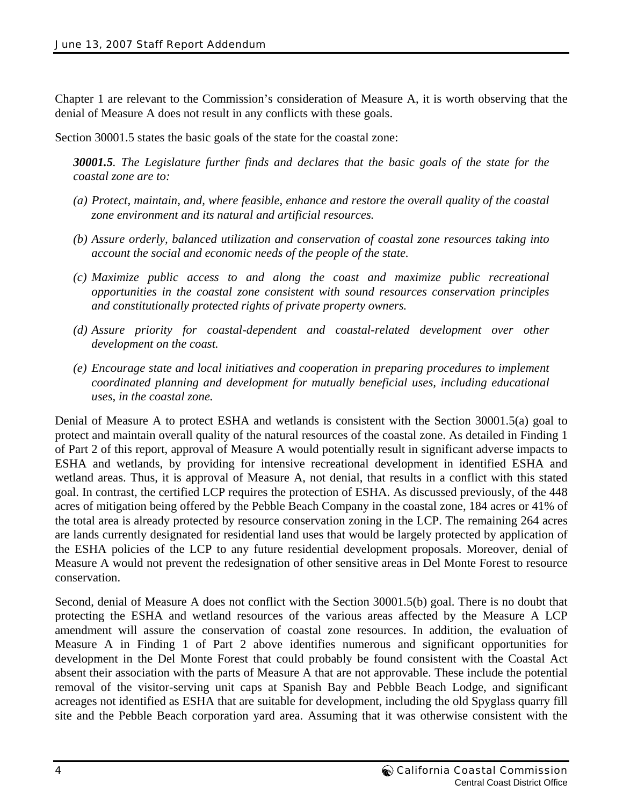Chapter 1 are relevant to the Commission's consideration of Measure A, it is worth observing that the denial of Measure A does not result in any conflicts with these goals.

Section 30001.5 states the basic goals of the state for the coastal zone:

*30001.5. The Legislature further finds and declares that the basic goals of the state for the coastal zone are to:* 

- *(a) Protect, maintain, and, where feasible, enhance and restore the overall quality of the coastal zone environment and its natural and artificial resources.*
- *(b) Assure orderly, balanced utilization and conservation of coastal zone resources taking into account the social and economic needs of the people of the state.*
- *(c) Maximize public access to and along the coast and maximize public recreational opportunities in the coastal zone consistent with sound resources conservation principles and constitutionally protected rights of private property owners.*
- *(d) Assure priority for coastal-dependent and coastal-related development over other development on the coast.*
- *(e) Encourage state and local initiatives and cooperation in preparing procedures to implement coordinated planning and development for mutually beneficial uses, including educational uses, in the coastal zone.*

Denial of Measure A to protect ESHA and wetlands is consistent with the Section 30001.5(a) goal to protect and maintain overall quality of the natural resources of the coastal zone. As detailed in Finding 1 of Part 2 of this report, approval of Measure A would potentially result in significant adverse impacts to ESHA and wetlands, by providing for intensive recreational development in identified ESHA and wetland areas. Thus, it is approval of Measure A, not denial, that results in a conflict with this stated goal. In contrast, the certified LCP requires the protection of ESHA. As discussed previously, of the 448 acres of mitigation being offered by the Pebble Beach Company in the coastal zone, 184 acres or 41% of the total area is already protected by resource conservation zoning in the LCP. The remaining 264 acres are lands currently designated for residential land uses that would be largely protected by application of the ESHA policies of the LCP to any future residential development proposals. Moreover, denial of Measure A would not prevent the redesignation of other sensitive areas in Del Monte Forest to resource conservation.

Second, denial of Measure A does not conflict with the Section 30001.5(b) goal. There is no doubt that protecting the ESHA and wetland resources of the various areas affected by the Measure A LCP amendment will assure the conservation of coastal zone resources. In addition, the evaluation of Measure A in Finding 1 of Part 2 above identifies numerous and significant opportunities for development in the Del Monte Forest that could probably be found consistent with the Coastal Act absent their association with the parts of Measure A that are not approvable. These include the potential removal of the visitor-serving unit caps at Spanish Bay and Pebble Beach Lodge, and significant acreages not identified as ESHA that are suitable for development, including the old Spyglass quarry fill site and the Pebble Beach corporation yard area. Assuming that it was otherwise consistent with the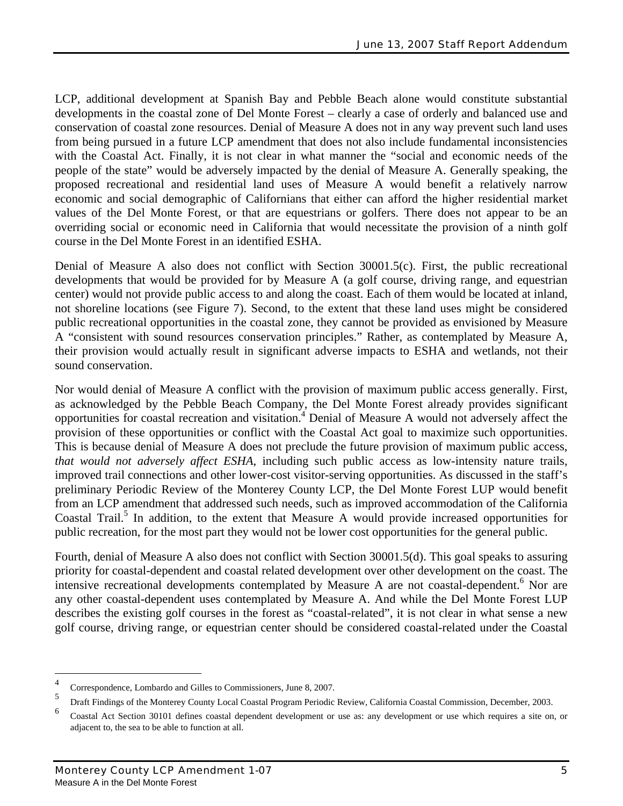LCP, additional development at Spanish Bay and Pebble Beach alone would constitute substantial developments in the coastal zone of Del Monte Forest – clearly a case of orderly and balanced use and conservation of coastal zone resources. Denial of Measure A does not in any way prevent such land uses from being pursued in a future LCP amendment that does not also include fundamental inconsistencies with the Coastal Act. Finally, it is not clear in what manner the "social and economic needs of the people of the state" would be adversely impacted by the denial of Measure A. Generally speaking, the proposed recreational and residential land uses of Measure A would benefit a relatively narrow economic and social demographic of Californians that either can afford the higher residential market values of the Del Monte Forest, or that are equestrians or golfers. There does not appear to be an overriding social or economic need in California that would necessitate the provision of a ninth golf course in the Del Monte Forest in an identified ESHA.

Denial of Measure A also does not conflict with Section 30001.5(c). First, the public recreational developments that would be provided for by Measure A (a golf course, driving range, and equestrian center) would not provide public access to and along the coast. Each of them would be located at inland, not shoreline locations (see Figure 7). Second, to the extent that these land uses might be considered public recreational opportunities in the coastal zone, they cannot be provided as envisioned by Measure A "consistent with sound resources conservation principles." Rather, as contemplated by Measure A, their provision would actually result in significant adverse impacts to ESHA and wetlands, not their sound conservation.

Nor would denial of Measure A conflict with the provision of maximum public access generally. First, as acknowledged by the Pebble Beach Company, the Del Monte Forest already provides significant opportunities for coastal recreation and visitation.4 Denial of Measure A would not adversely affect the provision of these opportunities or conflict with the Coastal Act goal to maximize such opportunities. This is because denial of Measure A does not preclude the future provision of maximum public access, *that would not adversely affect ESHA*, including such public access as low-intensity nature trails, improved trail connections and other lower-cost visitor-serving opportunities. As discussed in the staff's preliminary Periodic Review of the Monterey County LCP, the Del Monte Forest LUP would benefit from an LCP amendment that addressed such needs, such as improved accommodation of the California Coastal Trail.<sup>5</sup> In addition, to the extent that Measure A would provide increased opportunities for public recreation, for the most part they would not be lower cost opportunities for the general public.

Fourth, denial of Measure A also does not conflict with Section 30001.5(d). This goal speaks to assuring priority for coastal-dependent and coastal related development over other development on the coast. The intensive recreational developments contemplated by Measure A are not coastal-dependent.<sup>6</sup> Nor are any other coastal-dependent uses contemplated by Measure A. And while the Del Monte Forest LUP describes the existing golf courses in the forest as "coastal-related", it is not clear in what sense a new golf course, driving range, or equestrian center should be considered coastal-related under the Coastal

<u>.</u>

<sup>4</sup> Correspondence, Lombardo and Gilles to Commissioners, June 8, 2007.

<sup>5</sup> Draft Findings of the Monterey County Local Coastal Program Periodic Review, California Coastal Commission, December, 2003.

<sup>6</sup> Coastal Act Section 30101 defines coastal dependent development or use as: any development or use which requires a site on, or adjacent to, the sea to be able to function at all.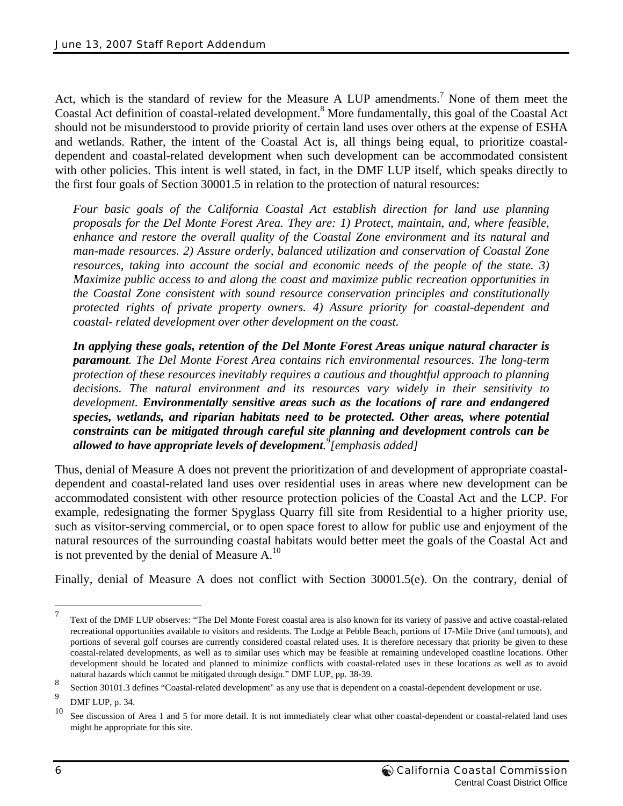Act, which is the standard of review for the Measure A LUP amendments.<sup>7</sup> None of them meet the Coastal Act definition of coastal-related development.<sup>8</sup> More fundamentally, this goal of the Coastal Act should not be misunderstood to provide priority of certain land uses over others at the expense of ESHA and wetlands. Rather, the intent of the Coastal Act is, all things being equal, to prioritize coastaldependent and coastal-related development when such development can be accommodated consistent with other policies. This intent is well stated, in fact, in the DMF LUP itself, which speaks directly to the first four goals of Section 30001.5 in relation to the protection of natural resources:

*Four basic goals of the California Coastal Act establish direction for land use planning proposals for the Del Monte Forest Area. They are: 1) Protect, maintain, and, where feasible, enhance and restore the overall quality of the Coastal Zone environment and its natural and man-made resources. 2) Assure orderly, balanced utilization and conservation of Coastal Zone resources, taking into account the social and economic needs of the people of the state. 3) Maximize public access to and along the coast and maximize public recreation opportunities in the Coastal Zone consistent with sound resource conservation principles and constitutionally protected rights of private property owners. 4) Assure priority for coastal-dependent and coastal- related development over other development on the coast.* 

*In applying these goals, retention of the Del Monte Forest Areas unique natural character is paramount. The Del Monte Forest Area contains rich environmental resources. The long-term protection of these resources inevitably requires a cautious and thoughtful approach to planning decisions. The natural environment and its resources vary widely in their sensitivity to development. Environmentally sensitive areas such as the locations of rare and endangered species, wetlands, and riparian habitats need to be protected. Other areas, where potential constraints can be mitigated through careful site planning and development controls can be allowed to have appropriate levels of development. 9 [emphasis added]*

Thus, denial of Measure A does not prevent the prioritization of and development of appropriate coastaldependent and coastal-related land uses over residential uses in areas where new development can be accommodated consistent with other resource protection policies of the Coastal Act and the LCP. For example, redesignating the former Spyglass Quarry fill site from Residential to a higher priority use, such as visitor-serving commercial, or to open space forest to allow for public use and enjoyment of the natural resources of the surrounding coastal habitats would better meet the goals of the Coastal Act and is not prevented by the denial of Measure  $A<sup>10</sup>$ .

Finally, denial of Measure A does not conflict with Section 30001.5(e). On the contrary, denial of

 $\overline{a}$ 

<sup>7</sup> Text of the DMF LUP observes: "The Del Monte Forest coastal area is also known for its variety of passive and active coastal-related recreational opportunities available to visitors and residents. The Lodge at Pebble Beach, portions of 17-Mile Drive (and turnouts), and portions of several golf courses are currently considered coastal related uses. It is therefore necessary that priority be given to these coastal-related developments, as well as to similar uses which may be feasible at remaining undeveloped coastline locations. Other development should be located and planned to minimize conflicts with coastal-related uses in these locations as well as to avoid natural hazards which cannot be mitigated through design." DMF LUP, pp. 38-39.

<sup>8</sup> Section 30101.3 defines "Coastal-related development" as any use that is dependent on a coastal-dependent development or use.

 $\overline{Q}$  $\sum_{10}^{\infty}$  DMF LUP, p. 34.

See discussion of Area 1 and 5 for more detail. It is not immediately clear what other coastal-dependent or coastal-related land uses might be appropriate for this site.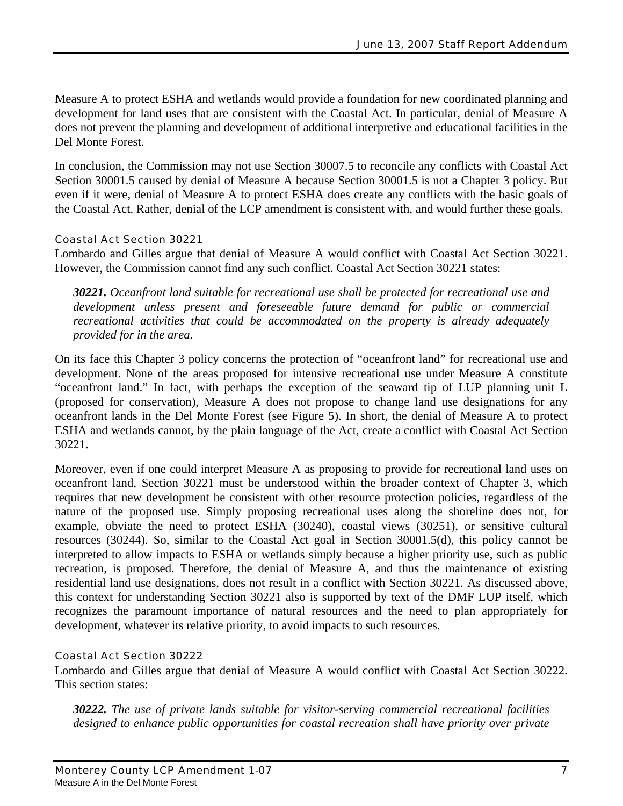Measure A to protect ESHA and wetlands would provide a foundation for new coordinated planning and development for land uses that are consistent with the Coastal Act. In particular, denial of Measure A does not prevent the planning and development of additional interpretive and educational facilities in the Del Monte Forest.

In conclusion, the Commission may not use Section 30007.5 to reconcile any conflicts with Coastal Act Section 30001.5 caused by denial of Measure A because Section 30001.5 is not a Chapter 3 policy. But even if it were, denial of Measure A to protect ESHA does create any conflicts with the basic goals of the Coastal Act. Rather, denial of the LCP amendment is consistent with, and would further these goals.

### Coastal Act Section 30221

Lombardo and Gilles argue that denial of Measure A would conflict with Coastal Act Section 30221. However, the Commission cannot find any such conflict. Coastal Act Section 30221 states:

*30221. Oceanfront land suitable for recreational use shall be protected for recreational use and development unless present and foreseeable future demand for public or commercial recreational activities that could be accommodated on the property is already adequately provided for in the area.* 

On its face this Chapter 3 policy concerns the protection of "oceanfront land" for recreational use and development. None of the areas proposed for intensive recreational use under Measure A constitute "oceanfront land." In fact, with perhaps the exception of the seaward tip of LUP planning unit L (proposed for conservation), Measure A does not propose to change land use designations for any oceanfront lands in the Del Monte Forest (see Figure 5). In short, the denial of Measure A to protect ESHA and wetlands cannot, by the plain language of the Act, create a conflict with Coastal Act Section 30221.

Moreover, even if one could interpret Measure A as proposing to provide for recreational land uses on oceanfront land, Section 30221 must be understood within the broader context of Chapter 3, which requires that new development be consistent with other resource protection policies, regardless of the nature of the proposed use. Simply proposing recreational uses along the shoreline does not, for example, obviate the need to protect ESHA (30240), coastal views (30251), or sensitive cultural resources (30244). So, similar to the Coastal Act goal in Section 30001.5(d), this policy cannot be interpreted to allow impacts to ESHA or wetlands simply because a higher priority use, such as public recreation, is proposed. Therefore, the denial of Measure A, and thus the maintenance of existing residential land use designations, does not result in a conflict with Section 30221. As discussed above, this context for understanding Section 30221 also is supported by text of the DMF LUP itself, which recognizes the paramount importance of natural resources and the need to plan appropriately for development, whatever its relative priority, to avoid impacts to such resources.

### Coastal Act Section 30222

Lombardo and Gilles argue that denial of Measure A would conflict with Coastal Act Section 30222. This section states:

*30222. The use of private lands suitable for visitor-serving commercial recreational facilities designed to enhance public opportunities for coastal recreation shall have priority over private*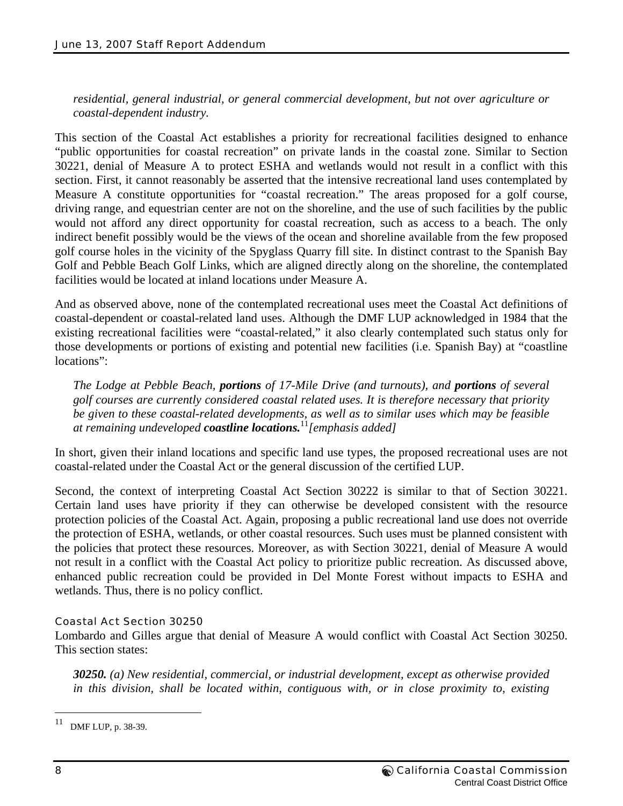*residential, general industrial, or general commercial development, but not over agriculture or coastal-dependent industry.* 

This section of the Coastal Act establishes a priority for recreational facilities designed to enhance "public opportunities for coastal recreation" on private lands in the coastal zone. Similar to Section 30221, denial of Measure A to protect ESHA and wetlands would not result in a conflict with this section. First, it cannot reasonably be asserted that the intensive recreational land uses contemplated by Measure A constitute opportunities for "coastal recreation." The areas proposed for a golf course, driving range, and equestrian center are not on the shoreline, and the use of such facilities by the public would not afford any direct opportunity for coastal recreation, such as access to a beach. The only indirect benefit possibly would be the views of the ocean and shoreline available from the few proposed golf course holes in the vicinity of the Spyglass Quarry fill site. In distinct contrast to the Spanish Bay Golf and Pebble Beach Golf Links, which are aligned directly along on the shoreline, the contemplated facilities would be located at inland locations under Measure A.

And as observed above, none of the contemplated recreational uses meet the Coastal Act definitions of coastal-dependent or coastal-related land uses. Although the DMF LUP acknowledged in 1984 that the existing recreational facilities were "coastal-related," it also clearly contemplated such status only for those developments or portions of existing and potential new facilities (i.e. Spanish Bay) at "coastline locations":

*The Lodge at Pebble Beach, portions of 17-Mile Drive (and turnouts), and portions of several golf courses are currently considered coastal related uses. It is therefore necessary that priority be given to these coastal-related developments, as well as to similar uses which may be feasible at remaining undeveloped coastline locations.*<sup>11</sup>*[emphasis added]* 

In short, given their inland locations and specific land use types, the proposed recreational uses are not coastal-related under the Coastal Act or the general discussion of the certified LUP.

Second, the context of interpreting Coastal Act Section 30222 is similar to that of Section 30221. Certain land uses have priority if they can otherwise be developed consistent with the resource protection policies of the Coastal Act. Again, proposing a public recreational land use does not override the protection of ESHA, wetlands, or other coastal resources. Such uses must be planned consistent with the policies that protect these resources. Moreover, as with Section 30221, denial of Measure A would not result in a conflict with the Coastal Act policy to prioritize public recreation. As discussed above, enhanced public recreation could be provided in Del Monte Forest without impacts to ESHA and wetlands. Thus, there is no policy conflict.

### Coastal Act Section 30250

Lombardo and Gilles argue that denial of Measure A would conflict with Coastal Act Section 30250. This section states:

*30250. (a) New residential, commercial, or industrial development, except as otherwise provided in this division, shall be located within, contiguous with, or in close proximity to, existing* 

<sup>11</sup> DMF LUP, p. 38-39.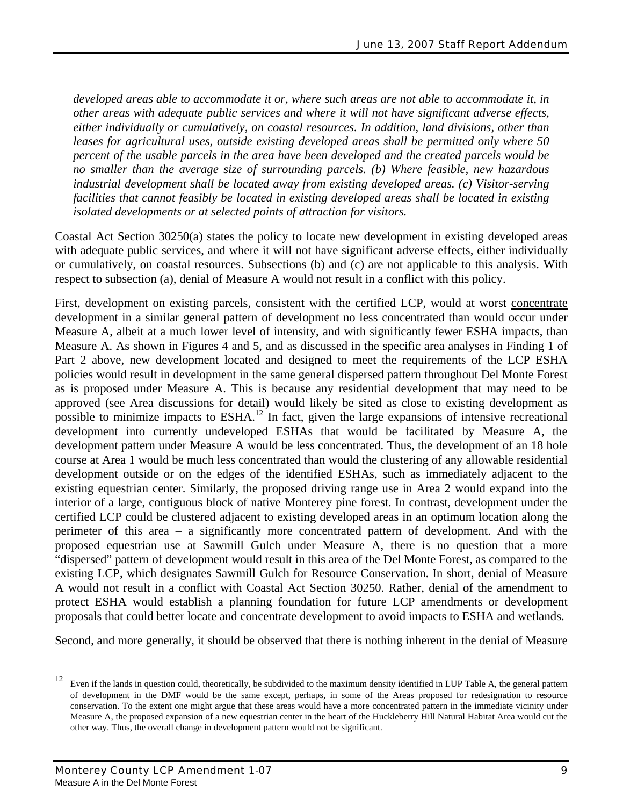*developed areas able to accommodate it or, where such areas are not able to accommodate it, in other areas with adequate public services and where it will not have significant adverse effects, either individually or cumulatively, on coastal resources. In addition, land divisions, other than leases for agricultural uses, outside existing developed areas shall be permitted only where 50 percent of the usable parcels in the area have been developed and the created parcels would be no smaller than the average size of surrounding parcels. (b) Where feasible, new hazardous industrial development shall be located away from existing developed areas. (c) Visitor-serving facilities that cannot feasibly be located in existing developed areas shall be located in existing isolated developments or at selected points of attraction for visitors.* 

Coastal Act Section 30250(a) states the policy to locate new development in existing developed areas with adequate public services, and where it will not have significant adverse effects, either individually or cumulatively, on coastal resources. Subsections (b) and (c) are not applicable to this analysis. With respect to subsection (a), denial of Measure A would not result in a conflict with this policy.

First, development on existing parcels, consistent with the certified LCP, would at worst concentrate development in a similar general pattern of development no less concentrated than would occur under Measure A, albeit at a much lower level of intensity, and with significantly fewer ESHA impacts, than Measure A. As shown in Figures 4 and 5, and as discussed in the specific area analyses in Finding 1 of Part 2 above, new development located and designed to meet the requirements of the LCP ESHA policies would result in development in the same general dispersed pattern throughout Del Monte Forest as is proposed under Measure A. This is because any residential development that may need to be approved (see Area discussions for detail) would likely be sited as close to existing development as possible to minimize impacts to ESHA.<sup>12</sup> In fact, given the large expansions of intensive recreational development into currently undeveloped ESHAs that would be facilitated by Measure A, the development pattern under Measure A would be less concentrated. Thus, the development of an 18 hole course at Area 1 would be much less concentrated than would the clustering of any allowable residential development outside or on the edges of the identified ESHAs, such as immediately adjacent to the existing equestrian center. Similarly, the proposed driving range use in Area 2 would expand into the interior of a large, contiguous block of native Monterey pine forest. In contrast, development under the certified LCP could be clustered adjacent to existing developed areas in an optimum location along the perimeter of this area – a significantly more concentrated pattern of development. And with the proposed equestrian use at Sawmill Gulch under Measure A, there is no question that a more "dispersed" pattern of development would result in this area of the Del Monte Forest, as compared to the existing LCP, which designates Sawmill Gulch for Resource Conservation. In short, denial of Measure A would not result in a conflict with Coastal Act Section 30250. Rather, denial of the amendment to protect ESHA would establish a planning foundation for future LCP amendments or development proposals that could better locate and concentrate development to avoid impacts to ESHA and wetlands.

Second, and more generally, it should be observed that there is nothing inherent in the denial of Measure

 $\overline{a}$ 

<sup>&</sup>lt;sup>12</sup> Even if the lands in question could, theoretically, be subdivided to the maximum density identified in LUP Table A, the general pattern of development in the DMF would be the same except, perhaps, in some of the Areas proposed for redesignation to resource conservation. To the extent one might argue that these areas would have a more concentrated pattern in the immediate vicinity under Measure A, the proposed expansion of a new equestrian center in the heart of the Huckleberry Hill Natural Habitat Area would cut the other way. Thus, the overall change in development pattern would not be significant.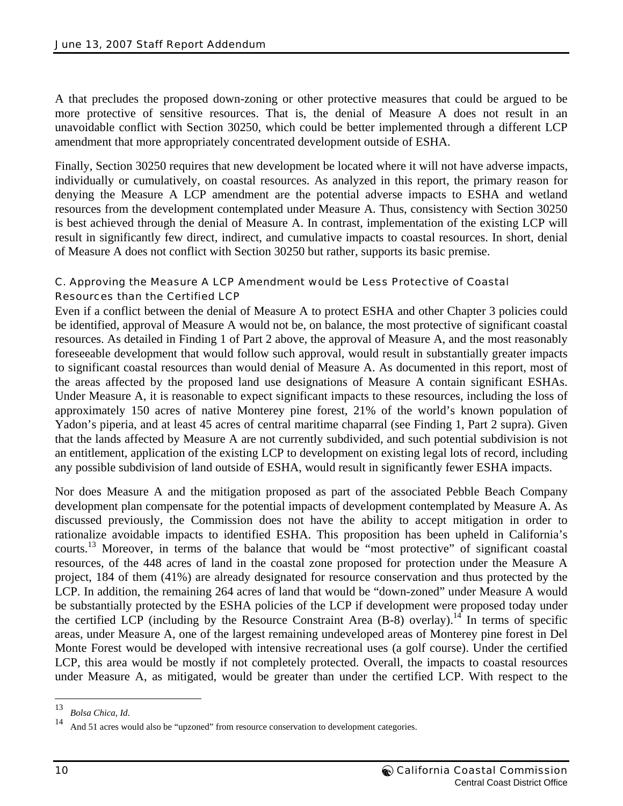A that precludes the proposed down-zoning or other protective measures that could be argued to be more protective of sensitive resources. That is, the denial of Measure A does not result in an unavoidable conflict with Section 30250, which could be better implemented through a different LCP amendment that more appropriately concentrated development outside of ESHA.

Finally, Section 30250 requires that new development be located where it will not have adverse impacts, individually or cumulatively, on coastal resources. As analyzed in this report, the primary reason for denying the Measure A LCP amendment are the potential adverse impacts to ESHA and wetland resources from the development contemplated under Measure A. Thus, consistency with Section 30250 is best achieved through the denial of Measure A. In contrast, implementation of the existing LCP will result in significantly few direct, indirect, and cumulative impacts to coastal resources. In short, denial of Measure A does not conflict with Section 30250 but rather, supports its basic premise.

### C. Approving the Measure A LCP Amendment would be Less Protective of Coastal Resources than the Certified LCP

Even if a conflict between the denial of Measure A to protect ESHA and other Chapter 3 policies could be identified, approval of Measure A would not be, on balance, the most protective of significant coastal resources. As detailed in Finding 1 of Part 2 above, the approval of Measure A, and the most reasonably foreseeable development that would follow such approval, would result in substantially greater impacts to significant coastal resources than would denial of Measure A. As documented in this report, most of the areas affected by the proposed land use designations of Measure A contain significant ESHAs. Under Measure A, it is reasonable to expect significant impacts to these resources, including the loss of approximately 150 acres of native Monterey pine forest, 21% of the world's known population of Yadon's piperia, and at least 45 acres of central maritime chaparral (see Finding 1, Part 2 supra). Given that the lands affected by Measure A are not currently subdivided, and such potential subdivision is not an entitlement, application of the existing LCP to development on existing legal lots of record, including any possible subdivision of land outside of ESHA, would result in significantly fewer ESHA impacts.

Nor does Measure A and the mitigation proposed as part of the associated Pebble Beach Company development plan compensate for the potential impacts of development contemplated by Measure A. As discussed previously, the Commission does not have the ability to accept mitigation in order to rationalize avoidable impacts to identified ESHA. This proposition has been upheld in California's courts.<sup>13</sup> Moreover, in terms of the balance that would be "most protective" of significant coastal resources, of the 448 acres of land in the coastal zone proposed for protection under the Measure A project, 184 of them (41%) are already designated for resource conservation and thus protected by the LCP. In addition, the remaining 264 acres of land that would be "down-zoned" under Measure A would be substantially protected by the ESHA policies of the LCP if development were proposed today under the certified LCP (including by the Resource Constraint Area  $(B-8)$  overlay).<sup>14</sup> In terms of specific areas, under Measure A, one of the largest remaining undeveloped areas of Monterey pine forest in Del Monte Forest would be developed with intensive recreational uses (a golf course). Under the certified LCP, this area would be mostly if not completely protected. Overall, the impacts to coastal resources under Measure A, as mitigated, would be greater than under the certified LCP. With respect to the

 $\overline{a}$ 

<sup>&</sup>lt;sup>13</sup> Bolsa Chica, Id.<br><sup>14</sup> And 51 acres would also be "upzoned" from resource conservation to development categories.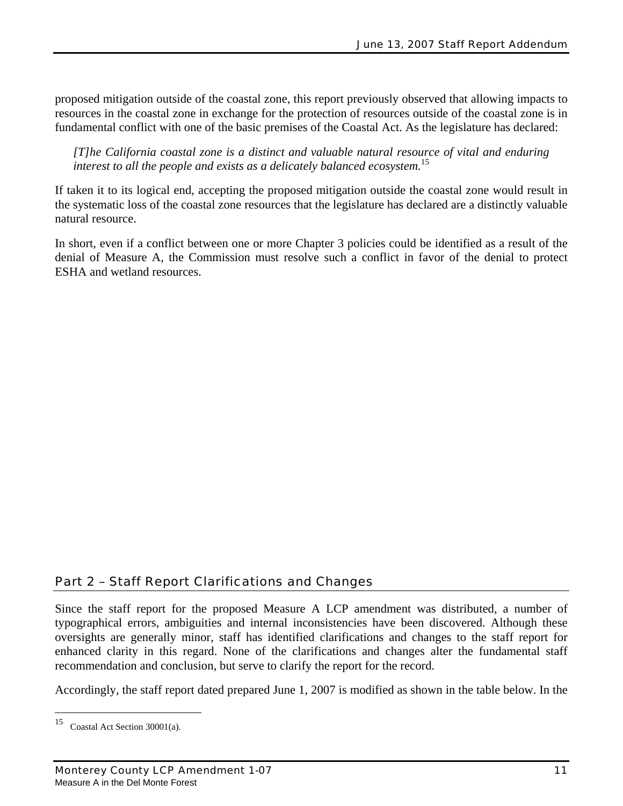proposed mitigation outside of the coastal zone, this report previously observed that allowing impacts to resources in the coastal zone in exchange for the protection of resources outside of the coastal zone is in fundamental conflict with one of the basic premises of the Coastal Act. As the legislature has declared:

*[T]he California coastal zone is a distinct and valuable natural resource of vital and enduring interest to all the people and exists as a delicately balanced ecosystem.*<sup>15</sup>

If taken it to its logical end, accepting the proposed mitigation outside the coastal zone would result in the systematic loss of the coastal zone resources that the legislature has declared are a distinctly valuable natural resource.

In short, even if a conflict between one or more Chapter 3 policies could be identified as a result of the denial of Measure A, the Commission must resolve such a conflict in favor of the denial to protect ESHA and wetland resources.

### Part 2 – Staff Report Clarifications and Changes

Since the staff report for the proposed Measure A LCP amendment was distributed, a number of typographical errors, ambiguities and internal inconsistencies have been discovered. Although these oversights are generally minor, staff has identified clarifications and changes to the staff report for enhanced clarity in this regard. None of the clarifications and changes alter the fundamental staff recommendation and conclusion, but serve to clarify the report for the record.

Accordingly, the staff report dated prepared June 1, 2007 is modified as shown in the table below. In the

<sup>15</sup> Coastal Act Section 30001(a).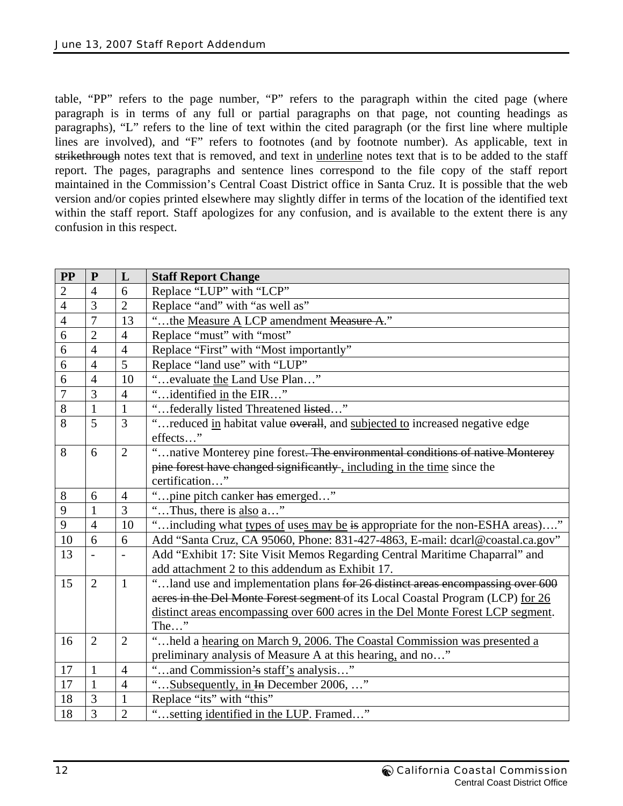table, "PP" refers to the page number, "P" refers to the paragraph within the cited page (where paragraph is in terms of any full or partial paragraphs on that page, not counting headings as paragraphs), "L" refers to the line of text within the cited paragraph (or the first line where multiple lines are involved), and "F" refers to footnotes (and by footnote number). As applicable, text in strikethrough notes text that is removed, and text in <u>underline</u> notes text that is to be added to the staff report. The pages, paragraphs and sentence lines correspond to the file copy of the staff report maintained in the Commission's Central Coast District office in Santa Cruz. It is possible that the web version and/or copies printed elsewhere may slightly differ in terms of the location of the identified text within the staff report. Staff apologizes for any confusion, and is available to the extent there is any confusion in this respect.

| <b>PP</b>      | ${\bf P}$      | L                        | <b>Staff Report Change</b>                                                      |  |  |  |
|----------------|----------------|--------------------------|---------------------------------------------------------------------------------|--|--|--|
| $\overline{2}$ | $\overline{4}$ | 6                        | Replace "LUP" with "LCP"                                                        |  |  |  |
| $\overline{4}$ | 3              | $\overline{2}$           | Replace "and" with "as well as"                                                 |  |  |  |
| $\overline{4}$ | $\overline{7}$ | 13                       | "the Measure A LCP amendment Measure A."                                        |  |  |  |
| 6              | $\overline{2}$ | $\overline{4}$           | Replace "must" with "most"                                                      |  |  |  |
| 6              | $\overline{4}$ | $\overline{4}$           | Replace "First" with "Most importantly"                                         |  |  |  |
| 6              | $\overline{4}$ | 5                        | Replace "land use" with "LUP"                                                   |  |  |  |
| 6              | $\overline{4}$ | 10                       | "evaluate the Land Use Plan"                                                    |  |  |  |
| $\overline{7}$ | 3              | $\overline{4}$           | identified in the EIR"                                                          |  |  |  |
| 8              | $\mathbf{1}$   | $\mathbf{1}$             | "federally listed Threatened listed"                                            |  |  |  |
| 8              | 5              | 3                        | "reduced in habitat value overall, and subjected to increased negative edge     |  |  |  |
|                |                |                          | effects"                                                                        |  |  |  |
| 8              | 6              | $\overline{2}$           | "native Monterey pine forest. The environmental conditions of native Monterey   |  |  |  |
|                |                |                          | pine forest have changed significantly, including in the time since the         |  |  |  |
|                |                |                          | certification"                                                                  |  |  |  |
| 8              | 6              | $\overline{4}$           | $\epsilon$<br>pine pitch canker has emerged"                                    |  |  |  |
| 9              | $\mathbf{1}$   | 3                        | "Thus, there is also a"                                                         |  |  |  |
| 9              | $\overline{4}$ | 10                       | "including what types of uses may be is appropriate for the non-ESHA areas)"    |  |  |  |
| 10             | 6              | 6                        | Add "Santa Cruz, CA 95060, Phone: 831-427-4863, E-mail: dcarl@coastal.ca.gov"   |  |  |  |
| 13             |                | $\overline{\phantom{0}}$ | Add "Exhibit 17: Site Visit Memos Regarding Central Maritime Chaparral" and     |  |  |  |
|                |                |                          | add attachment 2 to this addendum as Exhibit 17.                                |  |  |  |
| 15             | $\overline{2}$ | $\mathbf{1}$             | "land use and implementation plans for 26 distinct areas encompassing over 600  |  |  |  |
|                |                |                          | acres in the Del Monte Forest segment of its Local Coastal Program (LCP) for 26 |  |  |  |
|                |                |                          | distinct areas encompassing over 600 acres in the Del Monte Forest LCP segment. |  |  |  |
|                |                |                          | The $\ldots$ "                                                                  |  |  |  |
| 16             | $\overline{2}$ | $\overline{2}$           | "held a hearing on March 9, 2006. The Coastal Commission was presented a        |  |  |  |
|                |                |                          | preliminary analysis of Measure A at this hearing, and no"                      |  |  |  |
| 17             | $\mathbf{1}$   | 4                        | "and Commission's staff's analysis"                                             |  |  |  |
| 17             | $\mathbf{1}$   | $\overline{4}$           | Subsequently, in In December 2006, "                                            |  |  |  |
| 18             | 3              | $\mathbf{1}$             | Replace "its" with "this"                                                       |  |  |  |
| 18             | 3              | $\overline{2}$           | setting identified in the LUP. Framed"                                          |  |  |  |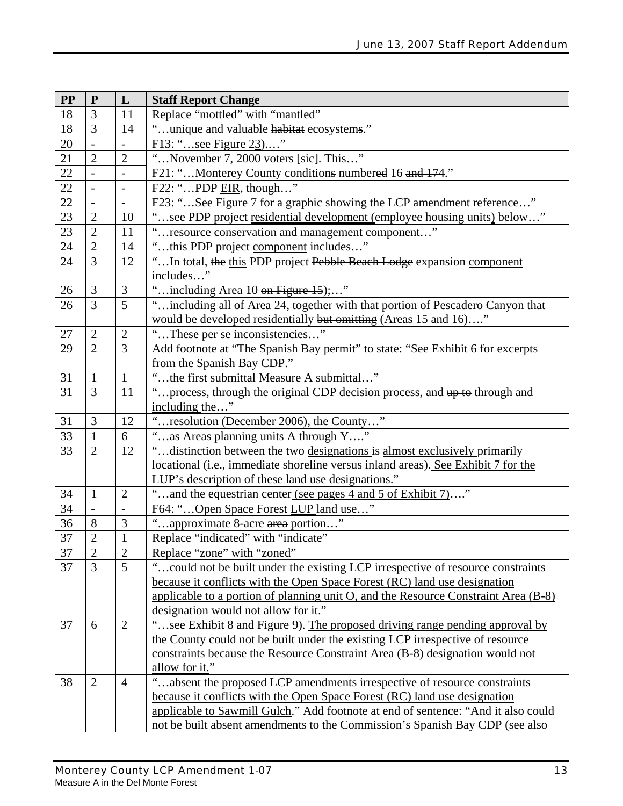| <b>PP</b> | ${\bf P}$      | L                        | <b>Staff Report Change</b>                                                         |  |  |  |
|-----------|----------------|--------------------------|------------------------------------------------------------------------------------|--|--|--|
| 18        | 3              | 11                       | Replace "mottled" with "mantled"                                                   |  |  |  |
| 18        | 3              | 14                       | "unique and valuable habitat ecosystems."                                          |  |  |  |
| 20        | $\overline{a}$ | $\qquad \qquad -$        | F13: "see Figure 23"                                                               |  |  |  |
| 21        | $\overline{2}$ | $\overline{2}$           | "November 7, 2000 voters [sic]. This"                                              |  |  |  |
| 22        | $\frac{1}{2}$  | $\overline{\phantom{0}}$ | F21: "Monterey County conditions numbered 16 and 174."                             |  |  |  |
| $22\,$    |                |                          | F22: "PDP EIR, though"                                                             |  |  |  |
| 22        | $\overline{a}$ | $\overline{\phantom{a}}$ | F23: "See Figure 7 for a graphic showing the LCP amendment reference"              |  |  |  |
| 23        | $\mathbf{2}$   | 10                       | "see PDP project residential development (employee housing units) below"           |  |  |  |
| 23        | $\overline{2}$ | 11                       | resource conservation and management component"                                    |  |  |  |
| 24        | $\overline{2}$ | 14                       | "this PDP project component includes"                                              |  |  |  |
| 24        | $\overline{3}$ | 12                       | "In total, the this PDP project Pebble Beach Lodge expansion component             |  |  |  |
|           |                |                          | includes"                                                                          |  |  |  |
| 26        | $\mathfrak{Z}$ | 3                        | "including Area 10 on Figure 15);"                                                 |  |  |  |
| 26        | 3              | 5                        | " including all of Area 24, together with that portion of Pescadero Canyon that    |  |  |  |
|           |                |                          | would be developed residentially but omitting (Areas 15 and 16)"                   |  |  |  |
| $27\,$    | $\overline{2}$ | $\overline{2}$           | "These per se inconsistencies"                                                     |  |  |  |
| 29        | $\overline{2}$ | 3                        | Add footnote at "The Spanish Bay permit" to state: "See Exhibit 6 for excerpts     |  |  |  |
|           |                |                          | from the Spanish Bay CDP."                                                         |  |  |  |
| 31        | $\mathbf{1}$   | $\mathbf{1}$             | "the first submittal Measure A submittal"                                          |  |  |  |
| 31        | 3              | 11                       | "process, through the original CDP decision process, and up to through and         |  |  |  |
|           |                |                          | including the"                                                                     |  |  |  |
| 31        | 3              | 12                       | "resolution (December 2006), the County"                                           |  |  |  |
| 33        | $\mathbf{1}$   | 6                        | "as Areas planning units A through Y"                                              |  |  |  |
| 33        | $\overline{2}$ | 12                       | " distinction between the two designations is almost exclusively primarily         |  |  |  |
|           |                |                          | locational (i.e., immediate shoreline versus inland areas). See Exhibit 7 for the  |  |  |  |
|           |                |                          | LUP's description of these land use designations."                                 |  |  |  |
| 34        | $\mathbf{1}$   | $\overline{2}$           | "and the equestrian center (see pages 4 and 5 of Exhibit 7)"                       |  |  |  |
| 34        |                |                          | F64: "Open Space Forest LUP land use"                                              |  |  |  |
| 36        | 8              | 3                        | $\zeta$ $\zeta$<br>approximate 8-acre area portion"                                |  |  |  |
| $37\,$    | $\overline{c}$ | $\mathbf{1}$             | Replace "indicated" with "indicate"                                                |  |  |  |
| 37        | 2              | 2                        | Replace "zone" with "zoned"                                                        |  |  |  |
| 37        | 3              | 5                        | could not be built under the existing LCP irrespective of resource constraints     |  |  |  |
|           |                |                          | because it conflicts with the Open Space Forest (RC) land use designation          |  |  |  |
|           |                |                          | applicable to a portion of planning unit O, and the Resource Constraint Area (B-8) |  |  |  |
|           |                |                          | designation would not allow for it."                                               |  |  |  |
| 37        | 6              | $\mathbf{2}$             | "see Exhibit 8 and Figure 9). The proposed driving range pending approval by       |  |  |  |
|           |                |                          | the County could not be built under the existing LCP irrespective of resource      |  |  |  |
|           |                |                          | constraints because the Resource Constraint Area (B-8) designation would not       |  |  |  |
|           |                |                          | allow for it."                                                                     |  |  |  |
| 38        | $\overline{2}$ | 4                        | "absent the proposed LCP amendments irrespective of resource constraints           |  |  |  |
|           |                |                          | because it conflicts with the Open Space Forest (RC) land use designation          |  |  |  |
|           |                |                          | applicable to Sawmill Gulch." Add footnote at end of sentence: "And it also could  |  |  |  |
|           |                |                          | not be built absent amendments to the Commission's Spanish Bay CDP (see also       |  |  |  |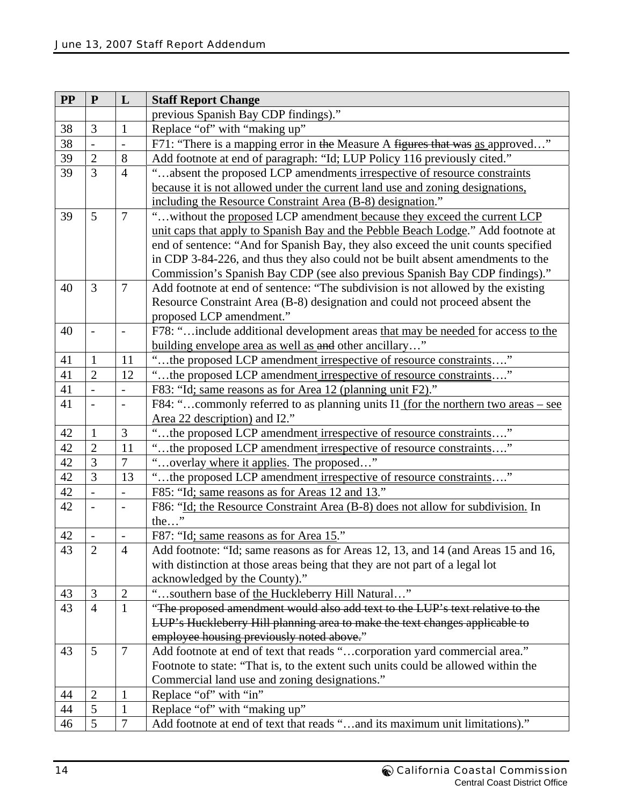| $\bf PP$ | ${\bf P}$                | L                        | <b>Staff Report Change</b>                                                        |  |  |
|----------|--------------------------|--------------------------|-----------------------------------------------------------------------------------|--|--|
|          |                          |                          | previous Spanish Bay CDP findings)."                                              |  |  |
| 38       | 3                        | $\mathbf{1}$             | Replace "of" with "making up"                                                     |  |  |
| 38       | $\overline{a}$           | $\overline{\phantom{0}}$ | F71: "There is a mapping error in the Measure A figures that was as approved"     |  |  |
| 39       | $\overline{2}$           | 8                        | Add footnote at end of paragraph: "Id; LUP Policy 116 previously cited."          |  |  |
| 39       | $\overline{3}$           | $\overline{4}$           | "absent the proposed LCP amendments irrespective of resource constraints          |  |  |
|          |                          |                          | because it is not allowed under the current land use and zoning designations,     |  |  |
|          |                          |                          | including the Resource Constraint Area (B-8) designation."                        |  |  |
| 39       | $\overline{5}$           | $\overline{7}$           | " without the proposed LCP amendment because they exceed the current LCP          |  |  |
|          |                          |                          | unit caps that apply to Spanish Bay and the Pebble Beach Lodge." Add footnote at  |  |  |
|          |                          |                          | end of sentence: "And for Spanish Bay, they also exceed the unit counts specified |  |  |
|          |                          |                          | in CDP 3-84-226, and thus they also could not be built absent amendments to the   |  |  |
|          |                          |                          | Commission's Spanish Bay CDP (see also previous Spanish Bay CDP findings)."       |  |  |
| 40       | 3                        | 7                        | Add footnote at end of sentence: "The subdivision is not allowed by the existing  |  |  |
|          |                          |                          | Resource Constraint Area (B-8) designation and could not proceed absent the       |  |  |
|          |                          |                          | proposed LCP amendment."                                                          |  |  |
| 40       | $\overline{\phantom{a}}$ | $\overline{\phantom{0}}$ | F78: "include additional development areas that may be needed for access to the   |  |  |
|          |                          |                          | building envelope area as well as and other ancillary"                            |  |  |
| 41       | $\mathbf{1}$             | 11                       | "the proposed LCP amendment irrespective of resource constraints"                 |  |  |
| 41       | $\overline{2}$           | 12                       | "the proposed LCP amendment irrespective of resource constraints"                 |  |  |
| 41       | $\overline{a}$           | $\overline{a}$           | F83: "Id; same reasons as for Area 12 (planning unit F2)."                        |  |  |
| 41       | $\overline{\phantom{a}}$ | $\overline{\phantom{0}}$ | F84: "commonly referred to as planning units I1 (for the northern two areas – see |  |  |
|          |                          |                          | Area 22 description) and I2."                                                     |  |  |
| 42       | $\mathbf{1}$             | 3                        | "the proposed LCP amendment irrespective of resource constraints"                 |  |  |
| 42       | $\overline{2}$           | 11                       | the proposed LCP amendment irrespective of resource constraints'                  |  |  |
| 42       | $\overline{3}$           | $\overline{7}$           | overlay where it applies. The proposed"                                           |  |  |
| 42       | $\overline{3}$           | 13                       | "the proposed LCP amendment irrespective of resource constraints"                 |  |  |
| 42       | $\frac{1}{2}$            | $\overline{a}$           | F85: "Id; same reasons as for Areas 12 and 13."                                   |  |  |
| 42       | $\overline{\phantom{a}}$ | $\overline{\phantom{a}}$ | F86: "Id; the Resource Constraint Area (B-8) does not allow for subdivision. In   |  |  |
|          |                          |                          | the"                                                                              |  |  |
| 42       |                          | $\overline{\phantom{a}}$ | F87: "Id; same reasons as for Area 15."                                           |  |  |
| 43       | 2                        | 4                        | Add footnote: "Id; same reasons as for Areas 12, 13, and 14 (and Areas 15 and 16, |  |  |
|          |                          |                          | with distinction at those areas being that they are not part of a legal lot       |  |  |
|          |                          |                          | acknowledged by the County)."                                                     |  |  |
| 43       | 3                        | $\overline{c}$           | "southern base of the Huckleberry Hill Natural"                                   |  |  |
| 43       | $\overline{4}$           | $\mathbf{1}$             | "The proposed amendment would also add text to the LUP's text relative to the     |  |  |
|          |                          |                          | LUP's Huckleberry Hill planning area to make the text changes applicable to       |  |  |
|          |                          |                          | employee housing previously noted above."                                         |  |  |
| 43       | 5                        | $\boldsymbol{7}$         | Add footnote at end of text that reads "corporation yard commercial area."        |  |  |
|          |                          |                          | Footnote to state: "That is, to the extent such units could be allowed within the |  |  |
|          |                          |                          | Commercial land use and zoning designations."                                     |  |  |
| 44       | $\sqrt{2}$               | $\mathbf{1}$             | Replace "of" with "in"                                                            |  |  |
| 44       | 5                        | $\mathbf{1}$             | Replace "of" with "making up"                                                     |  |  |
| 46       | 5                        | $\boldsymbol{7}$         | Add footnote at end of text that reads "and its maximum unit limitations)."       |  |  |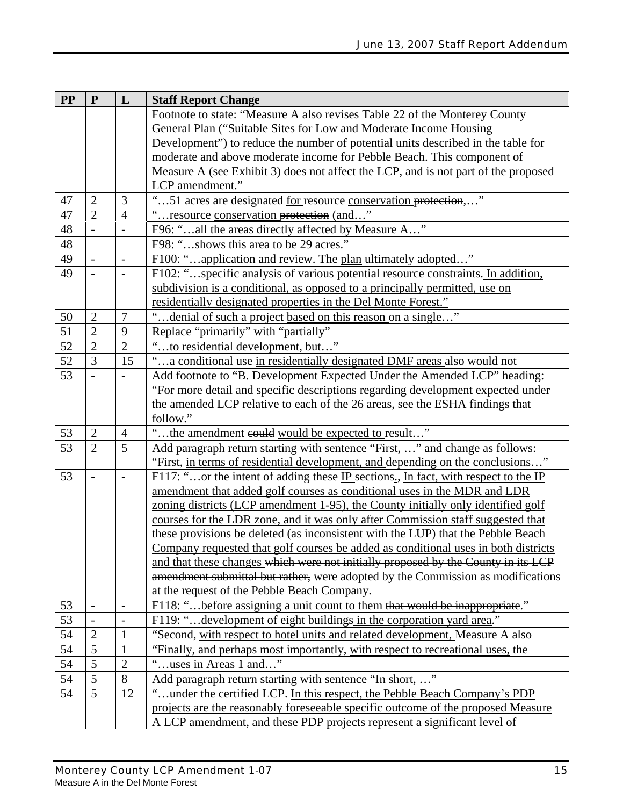| <b>PP</b> | ${\bf P}$      | L                                                                                  | <b>Staff Report Change</b>                                                         |  |  |  |
|-----------|----------------|------------------------------------------------------------------------------------|------------------------------------------------------------------------------------|--|--|--|
|           |                |                                                                                    | Footnote to state: "Measure A also revises Table 22 of the Monterey County         |  |  |  |
|           |                |                                                                                    | General Plan ("Suitable Sites for Low and Moderate Income Housing                  |  |  |  |
|           |                |                                                                                    | Development") to reduce the number of potential units described in the table for   |  |  |  |
|           |                |                                                                                    | moderate and above moderate income for Pebble Beach. This component of             |  |  |  |
|           |                |                                                                                    | Measure A (see Exhibit 3) does not affect the LCP, and is not part of the proposed |  |  |  |
|           |                |                                                                                    | LCP amendment."                                                                    |  |  |  |
| 47        | $\overline{2}$ | 3                                                                                  | "51 acres are designated for resource conservation protection,"                    |  |  |  |
| 47        | $\overline{2}$ | $\overline{4}$                                                                     | resource conservation protection (and"                                             |  |  |  |
| 48        | $\overline{a}$ | $\qquad \qquad -$                                                                  | F96: "all the areas directly affected by Measure A"                                |  |  |  |
| 48        |                |                                                                                    | F98: "shows this area to be 29 acres."                                             |  |  |  |
| 49        |                | $\qquad \qquad -$                                                                  | F100: "application and review. The plan ultimately adopted"                        |  |  |  |
| 49        | $\overline{a}$ |                                                                                    | F102: "specific analysis of various potential resource constraints. In addition,   |  |  |  |
|           |                |                                                                                    | subdivision is a conditional, as opposed to a principally permitted, use on        |  |  |  |
|           |                |                                                                                    | residentially designated properties in the Del Monte Forest."                      |  |  |  |
| 50        | $\mathbf{2}$   | $\tau$                                                                             | "denial of such a project based on this reason on a single"                        |  |  |  |
| 51        | $\overline{2}$ | 9                                                                                  | Replace "primarily" with "partially"                                               |  |  |  |
| 52        | $\overline{2}$ | $\overline{2}$                                                                     | to residential development, but"                                                   |  |  |  |
| 52        | $\overline{3}$ | 15                                                                                 | a conditional use in residentially designated DMF areas also would not             |  |  |  |
| 53        |                |                                                                                    | Add footnote to "B. Development Expected Under the Amended LCP" heading:           |  |  |  |
|           |                | "For more detail and specific descriptions regarding development expected under    |                                                                                    |  |  |  |
|           |                |                                                                                    | the amended LCP relative to each of the 26 areas, see the ESHA findings that       |  |  |  |
|           |                |                                                                                    | follow."                                                                           |  |  |  |
| 53        | $\mathbf{2}$   | 4                                                                                  | "the amendment could would be expected to result"                                  |  |  |  |
| 53        | $\overline{2}$ | 5                                                                                  | Add paragraph return starting with sentence "First, " and change as follows:       |  |  |  |
|           |                |                                                                                    | "First, in terms of residential development, and depending on the conclusions"     |  |  |  |
| 53        |                |                                                                                    | F117: "or the intent of adding these IP sections., In fact, with respect to the IP |  |  |  |
|           |                |                                                                                    | amendment that added golf courses as conditional uses in the MDR and LDR           |  |  |  |
|           |                |                                                                                    | zoning districts (LCP amendment 1-95), the County initially only identified golf   |  |  |  |
|           |                |                                                                                    | courses for the LDR zone, and it was only after Commission staff suggested that    |  |  |  |
|           |                |                                                                                    | these provisions be deleted (as inconsistent with the LUP) that the Pebble Beach   |  |  |  |
|           |                | Company requested that golf courses be added as conditional uses in both districts |                                                                                    |  |  |  |
|           |                |                                                                                    | and that these changes which were not initially proposed by the County in its LCP  |  |  |  |
|           |                |                                                                                    | amendment submittal but rather, were adopted by the Commission as modifications    |  |  |  |
|           |                |                                                                                    | at the request of the Pebble Beach Company.                                        |  |  |  |
| 53        |                | $\overline{\phantom{a}}$                                                           | F118: "before assigning a unit count to them that would be inappropriate."         |  |  |  |
| 53        |                |                                                                                    | F119: "development of eight buildings in the corporation yard area."               |  |  |  |
| 54        | $\overline{2}$ | 1                                                                                  | "Second, with respect to hotel units and related development, Measure A also       |  |  |  |
| 54        | $\overline{5}$ | 1                                                                                  | "Finally, and perhaps most importantly, with respect to recreational uses, the     |  |  |  |
| 54        | 5              | $\overline{2}$                                                                     | "uses in Areas 1 and"                                                              |  |  |  |
| 54        | 5              | 8                                                                                  | Add paragraph return starting with sentence "In short, "                           |  |  |  |
| 54        | 5              | 12                                                                                 | under the certified LCP. In this respect, the Pebble Beach Company's PDP           |  |  |  |
|           |                |                                                                                    | projects are the reasonably foreseeable specific outcome of the proposed Measure   |  |  |  |
|           |                |                                                                                    | A LCP amendment, and these PDP projects represent a significant level of           |  |  |  |
|           |                |                                                                                    |                                                                                    |  |  |  |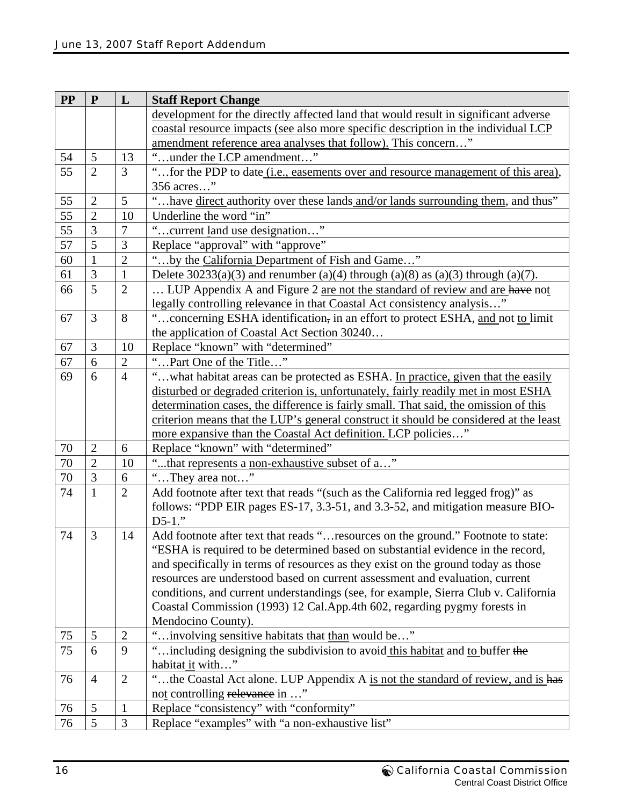| <b>PP</b> | ${\bf P}$      | L              | <b>Staff Report Change</b>                                                                 |  |  |  |
|-----------|----------------|----------------|--------------------------------------------------------------------------------------------|--|--|--|
|           |                |                | development for the directly affected land that would result in significant adverse        |  |  |  |
|           |                |                | coastal resource impacts (see also more specific description in the individual LCP         |  |  |  |
|           |                |                | amendment reference area analyses that follow). This concern"                              |  |  |  |
| 54        | 5              | 13             | "under the LCP amendment"                                                                  |  |  |  |
| 55        | $\overline{2}$ | 3              | "for the PDP to date (i.e., easements over and resource management of this area),          |  |  |  |
|           |                |                | 356 acres"                                                                                 |  |  |  |
| 55        | $\overline{2}$ | 5              | "have direct authority over these lands and/or lands surrounding them, and thus"           |  |  |  |
| 55        | $\overline{2}$ | 10             | Underline the word "in"                                                                    |  |  |  |
| 55        | 3              | $\overline{7}$ | "current land use designation"                                                             |  |  |  |
| 57        | $\overline{5}$ | 3              | Replace "approval" with "approve"                                                          |  |  |  |
| 60        | 1              | $\overline{2}$ | "by the California Department of Fish and Game"                                            |  |  |  |
| 61        | 3              | $\mathbf{1}$   | Delete $30233(a)(3)$ and renumber $(a)(4)$ through $(a)(8)$ as $(a)(3)$ through $(a)(7)$ . |  |  |  |
| 66        | 5              | $\overline{2}$ | LUP Appendix A and Figure 2 are not the standard of review and are have not                |  |  |  |
|           |                |                | legally controlling relevance in that Coastal Act consistency analysis"                    |  |  |  |
| 67        | 3              | 8              | "concerning ESHA identification, in an effort to protect ESHA, and not to limit            |  |  |  |
|           |                |                | the application of Coastal Act Section 30240                                               |  |  |  |
| 67        | 3              | 10             | Replace "known" with "determined"                                                          |  |  |  |
| 67        | 6              | $\overline{2}$ | "Part One of the Title"                                                                    |  |  |  |
| 69        | 6              | $\overline{4}$ | "what habitat areas can be protected as ESHA. In practice, given that the easily           |  |  |  |
|           |                |                | disturbed or degraded criterion is, unfortunately, fairly readily met in most ESHA         |  |  |  |
|           |                |                | determination cases, the difference is fairly small. That said, the omission of this       |  |  |  |
|           |                |                | criterion means that the LUP's general construct it should be considered at the least      |  |  |  |
|           |                |                | more expansive than the Coastal Act definition. LCP policies"                              |  |  |  |
| 70        | $\mathbf{2}$   | 6              | Replace "known" with "determined"                                                          |  |  |  |
| 70        | $\overline{2}$ | 10             | "that represents a non-exhaustive subset of a"                                             |  |  |  |
| 70        | $\overline{3}$ | 6              | "They area not"                                                                            |  |  |  |
| 74        | $\mathbf{1}$   | $\overline{2}$ | Add footnote after text that reads "(such as the California red legged frog)" as           |  |  |  |
|           |                |                | follows: "PDP EIR pages ES-17, 3.3-51, and 3.3-52, and mitigation measure BIO-             |  |  |  |
|           |                |                | $D5-1."$                                                                                   |  |  |  |
| 74        | 3              | 14             | Add footnote after text that reads "resources on the ground." Footnote to state:           |  |  |  |
|           |                |                | "ESHA is required to be determined based on substantial evidence in the record,            |  |  |  |
|           |                |                | and specifically in terms of resources as they exist on the ground today as those          |  |  |  |
|           |                |                | resources are understood based on current assessment and evaluation, current               |  |  |  |
|           |                |                | conditions, and current understandings (see, for example, Sierra Club v. California        |  |  |  |
|           |                |                | Coastal Commission (1993) 12 Cal.App.4th 602, regarding pygmy forests in                   |  |  |  |
|           |                |                | Mendocino County).                                                                         |  |  |  |
| 75        | 5              | $\mathfrak{2}$ | "involving sensitive habitats that than would be"                                          |  |  |  |
| 75        | 6              | 9              | "including designing the subdivision to avoid this habitat and to buffer the               |  |  |  |
|           |                |                | habitat it with"                                                                           |  |  |  |
| 76        | $\overline{4}$ | $\mathbf{2}$   | "the Coastal Act alone. LUP Appendix A is not the standard of review, and is has           |  |  |  |
|           |                |                | not controlling relevance in "                                                             |  |  |  |
| 76        | 5              | $\mathbf{1}$   | Replace "consistency" with "conformity"                                                    |  |  |  |
| 76        | 5              | 3              | Replace "examples" with "a non-exhaustive list"                                            |  |  |  |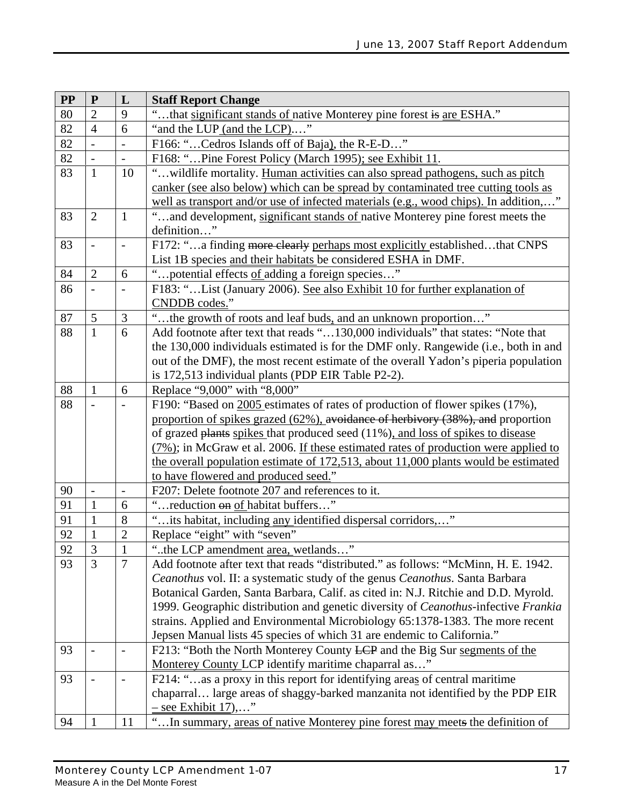| <b>PP</b> | ${\bf P}$                                                                       | L                        | <b>Staff Report Change</b>                                                              |  |  |  |
|-----------|---------------------------------------------------------------------------------|--------------------------|-----------------------------------------------------------------------------------------|--|--|--|
| 80        | $\overline{2}$                                                                  | 9                        | that significant stands of native Monterey pine forest is are ESHA."                    |  |  |  |
| 82        | $\overline{4}$                                                                  | 6                        | "and the LUP (and the LCP)"                                                             |  |  |  |
| 82        |                                                                                 |                          | F166: "Cedros Islands off of Baja), the R-E-D"                                          |  |  |  |
| 82        |                                                                                 | ÷                        | F168: "Pine Forest Policy (March 1995); see Exhibit 11.                                 |  |  |  |
| 83        | $\mathbf{1}$                                                                    | 10                       | "wildlife mortality. Human activities can also spread pathogens, such as pitch          |  |  |  |
|           |                                                                                 |                          | canker (see also below) which can be spread by contaminated tree cutting tools as       |  |  |  |
|           |                                                                                 |                          | well as transport and/or use of infected materials (e.g., wood chips). In addition,"    |  |  |  |
| 83        | $\overline{2}$                                                                  | $\mathbf{1}$             | "and development, significant stands of native Monterey pine forest meets the           |  |  |  |
|           |                                                                                 |                          | definition"                                                                             |  |  |  |
| 83        | $\overline{a}$                                                                  | $\overline{\phantom{a}}$ | F172: "a finding more clearly perhaps most explicitly establishedthat CNPS              |  |  |  |
|           |                                                                                 |                          | List 1B species and their habitats be considered ESHA in DMF.                           |  |  |  |
| 84        | $\overline{2}$                                                                  | 6                        | potential effects of adding a foreign species"                                          |  |  |  |
| 86        | $\qquad \qquad \blacksquare$                                                    | $\overline{\phantom{m}}$ | F183: "List (January 2006). See also Exhibit 10 for further explanation of              |  |  |  |
|           |                                                                                 |                          | CNDDB codes."                                                                           |  |  |  |
| 87        | 5                                                                               | $\mathfrak{Z}$           | "the growth of roots and leaf buds, and an unknown proportion"                          |  |  |  |
| 88        | $\mathbf{1}$                                                                    | 6                        | Add footnote after text that reads "130,000 individuals" that states: "Note that        |  |  |  |
|           |                                                                                 |                          | the 130,000 individuals estimated is for the DMF only. Rangewide (i.e., both in and     |  |  |  |
|           |                                                                                 |                          | out of the DMF), the most recent estimate of the overall Yadon's piperia population     |  |  |  |
|           |                                                                                 |                          | is 172,513 individual plants (PDP EIR Table P2-2).                                      |  |  |  |
| 88        | $\mathbf{1}$                                                                    | 6                        | Replace "9,000" with "8,000"                                                            |  |  |  |
| 88        |                                                                                 |                          | F190: "Based on 2005 estimates of rates of production of flower spikes (17%),           |  |  |  |
|           | proportion of spikes grazed (62%), avoidance of herbivory (38%), and proportion |                          |                                                                                         |  |  |  |
|           |                                                                                 |                          | of grazed plants spikes that produced seed (11%), and loss of spikes to disease         |  |  |  |
|           |                                                                                 |                          | $(7\%)$ ; in McGraw et al. 2006. If these estimated rates of production were applied to |  |  |  |
|           |                                                                                 |                          | the overall population estimate of 172,513, about 11,000 plants would be estimated      |  |  |  |
|           |                                                                                 |                          | to have flowered and produced seed."                                                    |  |  |  |
| 90        | $\frac{1}{2}$                                                                   | $\overline{\phantom{a}}$ | F207: Delete footnote 207 and references to it.                                         |  |  |  |
| 91        | $\mathbf{1}$                                                                    | 6                        | reduction on of habitat buffers"                                                        |  |  |  |
| 91        | $\mathbf{1}$                                                                    | 8                        | 'its habitat, including any identified dispersal corridors,"                            |  |  |  |
| 92        | $\mathbf{1}$                                                                    | $\overline{2}$           | Replace "eight" with "seven"                                                            |  |  |  |
| 92        | 3                                                                               | $\mathbf{1}$             | "the LCP amendment area, wetlands"                                                      |  |  |  |
| 93        | 3                                                                               | $\overline{7}$           | Add footnote after text that reads "distributed." as follows: "McMinn, H. E. 1942.      |  |  |  |
|           |                                                                                 |                          | Ceanothus vol. II: a systematic study of the genus Ceanothus. Santa Barbara             |  |  |  |
|           |                                                                                 |                          | Botanical Garden, Santa Barbara, Calif. as cited in: N.J. Ritchie and D.D. Myrold.      |  |  |  |
|           |                                                                                 |                          | 1999. Geographic distribution and genetic diversity of Ceanothus-infective Frankia      |  |  |  |
|           |                                                                                 |                          | strains. Applied and Environmental Microbiology 65:1378-1383. The more recent           |  |  |  |
|           |                                                                                 |                          | Jepsen Manual lists 45 species of which 31 are endemic to California."                  |  |  |  |
| 93        | $\overline{\phantom{0}}$                                                        | $\overline{\phantom{0}}$ | F213: "Both the North Monterey County LCP and the Big Sur segments of the               |  |  |  |
|           |                                                                                 |                          | Monterey County LCP identify maritime chaparral as"                                     |  |  |  |
| 93        | $\overline{\phantom{a}}$                                                        | $\overline{\phantom{a}}$ | F214: "as a proxy in this report for identifying areas of central maritime              |  |  |  |
|           |                                                                                 |                          | chaparral large areas of shaggy-barked manzanita not identified by the PDP EIR          |  |  |  |
|           |                                                                                 |                          | $-$ see Exhibit 17),"                                                                   |  |  |  |
| 94        | 1                                                                               | 11                       | "In summary, areas of native Monterey pine forest may meets the definition of           |  |  |  |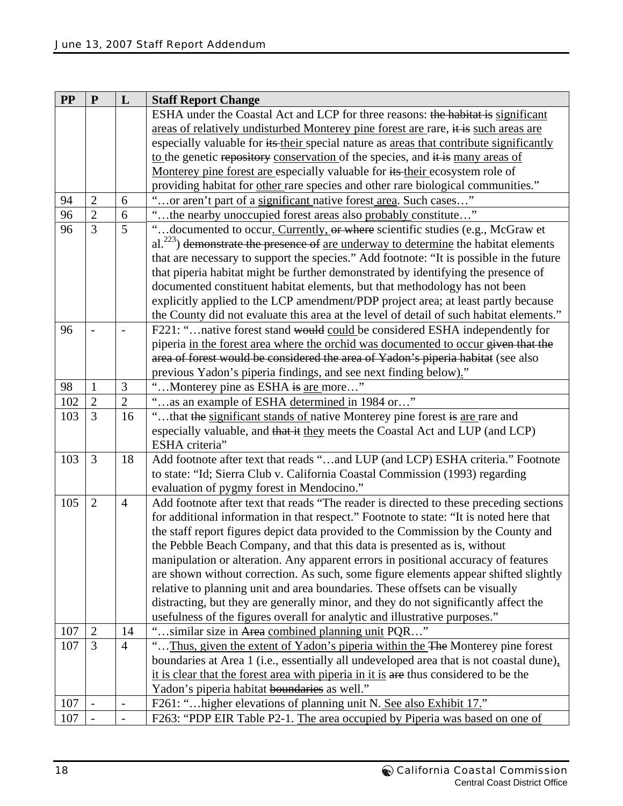| <b>PP</b> | ${\bf P}$                                                                | L                                                                                      | <b>Staff Report Change</b>                                                               |  |  |  |
|-----------|--------------------------------------------------------------------------|----------------------------------------------------------------------------------------|------------------------------------------------------------------------------------------|--|--|--|
|           |                                                                          |                                                                                        | ESHA under the Coastal Act and LCP for three reasons: the habitat is significant         |  |  |  |
|           |                                                                          |                                                                                        | areas of relatively undisturbed Monterey pine forest are rare, it is such areas are      |  |  |  |
|           |                                                                          |                                                                                        | especially valuable for its their special nature as areas that contribute significantly  |  |  |  |
|           |                                                                          |                                                                                        | to the genetic repository conservation of the species, and it is many areas of           |  |  |  |
|           |                                                                          |                                                                                        | Monterey pine forest are especially valuable for its their ecosystem role of             |  |  |  |
|           |                                                                          |                                                                                        | providing habitat for other rare species and other rare biological communities."         |  |  |  |
| 94        | $\overline{2}$                                                           | 6                                                                                      | or aren't part of a significant native forest area. Such cases"                          |  |  |  |
| 96        | $\overline{2}$                                                           | 6                                                                                      | 'the nearby unoccupied forest areas also probably constitute"                            |  |  |  |
| 96        | $\overline{3}$                                                           | 5                                                                                      | "documented to occur. Currently, or where scientific studies (e.g., McGraw et            |  |  |  |
|           |                                                                          |                                                                                        | $al.^{223}$ ) demonstrate the presence of are underway to determine the habitat elements |  |  |  |
|           |                                                                          |                                                                                        | that are necessary to support the species." Add footnote: "It is possible in the future  |  |  |  |
|           |                                                                          |                                                                                        | that piperia habitat might be further demonstrated by identifying the presence of        |  |  |  |
|           |                                                                          |                                                                                        | documented constituent habitat elements, but that methodology has not been               |  |  |  |
|           |                                                                          |                                                                                        | explicitly applied to the LCP amendment/PDP project area; at least partly because        |  |  |  |
|           |                                                                          |                                                                                        | the County did not evaluate this area at the level of detail of such habitat elements."  |  |  |  |
| 96        |                                                                          |                                                                                        | F221: "native forest stand would could be considered ESHA independently for              |  |  |  |
|           |                                                                          |                                                                                        | piperia in the forest area where the orchid was documented to occur given that the       |  |  |  |
|           |                                                                          |                                                                                        | area of forest would be considered the area of Yadon's piperia habitat (see also         |  |  |  |
|           |                                                                          |                                                                                        | previous Yadon's piperia findings, and see next finding below)."                         |  |  |  |
| 98        | $\mathbf{1}$                                                             | 3                                                                                      | "Monterey pine as ESHA is are more"                                                      |  |  |  |
| 102       | $\overline{2}$                                                           | $\overline{2}$                                                                         | as an example of ESHA determined in 1984 or"                                             |  |  |  |
| 103       | $\overline{3}$                                                           | 16                                                                                     | that the significant stands of native Monterey pine forest is are rare and               |  |  |  |
|           |                                                                          |                                                                                        | especially valuable, and that it they meets the Coastal Act and LUP (and LCP)            |  |  |  |
|           |                                                                          |                                                                                        | ESHA criteria"                                                                           |  |  |  |
| 103       | 3                                                                        | 18                                                                                     | Add footnote after text that reads "and LUP (and LCP) ESHA criteria." Footnote           |  |  |  |
|           |                                                                          |                                                                                        | to state: "Id; Sierra Club v. California Coastal Commission (1993) regarding             |  |  |  |
|           |                                                                          |                                                                                        | evaluation of pygmy forest in Mendocino."                                                |  |  |  |
| 105       | $\overline{2}$                                                           | $\overline{4}$                                                                         | Add footnote after text that reads "The reader is directed to these preceding sections   |  |  |  |
|           |                                                                          | for additional information in that respect." Footnote to state: "It is noted here that |                                                                                          |  |  |  |
|           |                                                                          | the staff report figures depict data provided to the Commission by the County and      |                                                                                          |  |  |  |
|           | the Pebble Beach Company, and that this data is presented as is, without |                                                                                        |                                                                                          |  |  |  |
|           |                                                                          |                                                                                        | manipulation or alteration. Any apparent errors in positional accuracy of features       |  |  |  |
|           |                                                                          |                                                                                        | are shown without correction. As such, some figure elements appear shifted slightly      |  |  |  |
|           |                                                                          |                                                                                        | relative to planning unit and area boundaries. These offsets can be visually             |  |  |  |
|           |                                                                          |                                                                                        | distracting, but they are generally minor, and they do not significantly affect the      |  |  |  |
|           |                                                                          |                                                                                        | usefulness of the figures overall for analytic and illustrative purposes."               |  |  |  |
| 107       | $\overline{2}$                                                           | 14                                                                                     | "similar size in Area combined planning unit PQR"                                        |  |  |  |
| 107       | 3                                                                        | $\overline{4}$                                                                         | Thus, given the extent of Yadon's piperia within the The Monterey pine forest            |  |  |  |
|           |                                                                          |                                                                                        | boundaries at Area 1 (i.e., essentially all undeveloped area that is not coastal dune),  |  |  |  |
|           |                                                                          |                                                                                        | it is clear that the forest area with piperia in it is are thus considered to be the     |  |  |  |
|           |                                                                          |                                                                                        | Yadon's piperia habitat boundaries as well."                                             |  |  |  |
| 107       |                                                                          | $\overline{\phantom{0}}$                                                               | F261: " higher elevations of planning unit N. See also Exhibit 17."                      |  |  |  |
| 107       |                                                                          |                                                                                        | F263: "PDP EIR Table P2-1. The area occupied by Piperia was based on one of              |  |  |  |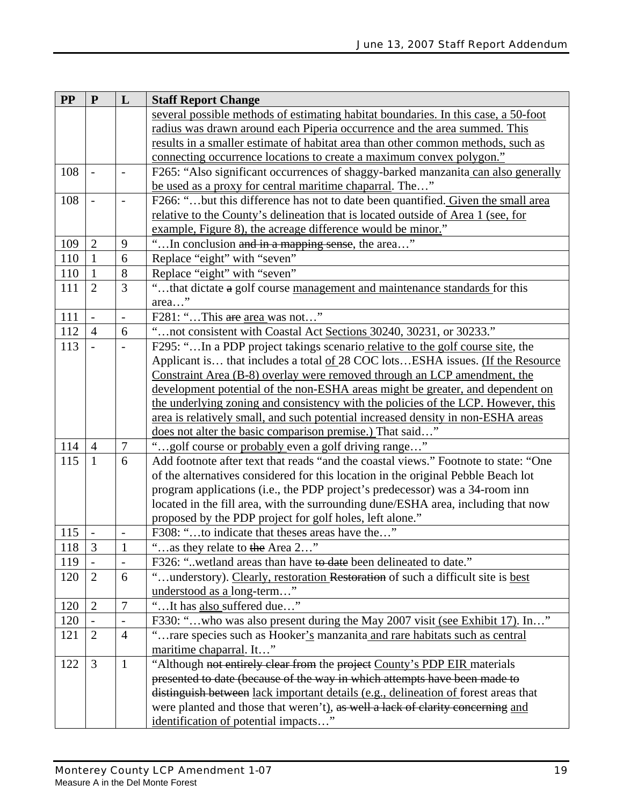| <b>PP</b> | ${\bf P}$      | L                        | <b>Staff Report Change</b>                                                          |  |  |  |
|-----------|----------------|--------------------------|-------------------------------------------------------------------------------------|--|--|--|
|           |                |                          | several possible methods of estimating habitat boundaries. In this case, a 50-foot  |  |  |  |
|           |                |                          | radius was drawn around each Piperia occurrence and the area summed. This           |  |  |  |
|           |                |                          | results in a smaller estimate of habitat area than other common methods, such as    |  |  |  |
|           |                |                          | connecting occurrence locations to create a maximum convex polygon."                |  |  |  |
| 108       |                |                          | F265: "Also significant occurrences of shaggy-barked manzanita can also generally   |  |  |  |
|           |                |                          | be used as a proxy for central maritime chaparral. The"                             |  |  |  |
| 108       |                |                          | F266: "but this difference has not to date been quantified. Given the small area    |  |  |  |
|           |                |                          | relative to the County's delineation that is located outside of Area 1 (see, for    |  |  |  |
|           |                |                          | example, Figure 8), the acreage difference would be minor."                         |  |  |  |
| 109       | $\overline{2}$ | 9                        | "In conclusion and in a mapping sense, the area"                                    |  |  |  |
| 110       | $\mathbf{1}$   | 6                        | Replace "eight" with "seven"                                                        |  |  |  |
| 110       | $\mathbf{1}$   | 8                        | Replace "eight" with "seven"                                                        |  |  |  |
| 111       | $\overline{2}$ | 3                        | "that dictate a golf course management and maintenance standards for this           |  |  |  |
|           |                |                          | area"                                                                               |  |  |  |
| 111       | $\overline{a}$ | $\overline{\phantom{0}}$ | F281: "This are area was not"                                                       |  |  |  |
| 112       | $\overline{4}$ | 6                        | "not consistent with Coastal Act Sections 30240, 30231, or 30233."                  |  |  |  |
| 113       |                |                          | F295: "In a PDP project takings scenario relative to the golf course site, the      |  |  |  |
|           |                |                          | Applicant is that includes a total of 28 COC lotsESHA issues. (If the Resource      |  |  |  |
|           |                |                          | Constraint Area (B-8) overlay were removed through an LCP amendment, the            |  |  |  |
|           |                |                          | development potential of the non-ESHA areas might be greater, and dependent on      |  |  |  |
|           |                |                          | the underlying zoning and consistency with the policies of the LCP. However, this   |  |  |  |
|           |                |                          | area is relatively small, and such potential increased density in non-ESHA areas    |  |  |  |
|           |                |                          | does not alter the basic comparison premise.) That said"                            |  |  |  |
| 114       | $\overline{4}$ | $\overline{7}$           | "golf course or probably even a golf driving range"                                 |  |  |  |
| 115       | $\mathbf{1}$   | 6                        | Add footnote after text that reads "and the coastal views." Footnote to state: "One |  |  |  |
|           |                |                          | of the alternatives considered for this location in the original Pebble Beach lot   |  |  |  |
|           |                |                          | program applications (i.e., the PDP project's predecessor) was a 34-room inn        |  |  |  |
|           |                |                          | located in the fill area, with the surrounding dune/ESHA area, including that now   |  |  |  |
|           |                |                          | proposed by the PDP project for golf holes, left alone."                            |  |  |  |
| 115       |                |                          | F308: "to indicate that theses areas have the"                                      |  |  |  |
| 118       | 3              | $\mathbf{1}$             | $\,$ 6 $\,$<br>as they relate to the Area 2                                         |  |  |  |
| 119       |                |                          | F326: "wetland areas than have to date been delineated to date."                    |  |  |  |
| 120       | $\overline{2}$ | 6                        | "understory). Clearly, restoration Restoration of such a difficult site is best     |  |  |  |
|           |                |                          | understood as a long-term"                                                          |  |  |  |
| 120       | $\overline{2}$ | $\boldsymbol{7}$         | "It has also suffered due"                                                          |  |  |  |
| 120       |                |                          | F330: "who was also present during the May 2007 visit (see Exhibit 17). In"         |  |  |  |
| 121       | $\overline{2}$ | $\overline{4}$           | "rare species such as Hooker's manzanita and rare habitats such as central          |  |  |  |
|           |                |                          | maritime chaparral. It"                                                             |  |  |  |
| 122       | $\overline{3}$ | $\mathbf{1}$             | "Although not entirely clear from the project County's PDP EIR materials            |  |  |  |
|           |                |                          | presented to date (because of the way in which attempts have been made to           |  |  |  |
|           |                |                          | distinguish between lack important details (e.g., delineation of forest areas that  |  |  |  |
|           |                |                          | were planted and those that weren't), as well a lack of clarity concerning and      |  |  |  |
|           |                |                          | identification of potential impacts"                                                |  |  |  |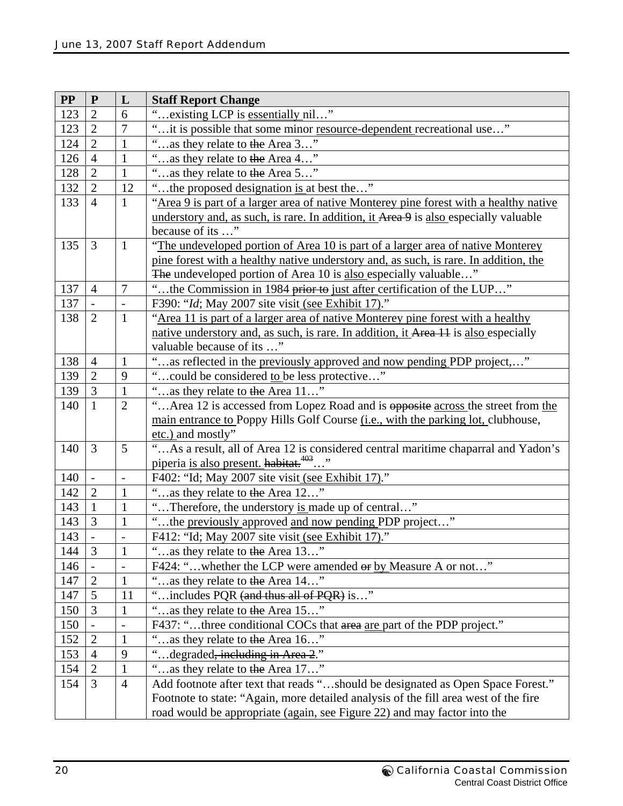| $\bf PP$ | ${\bf P}$                | L                        | <b>Staff Report Change</b>                                                                |  |  |  |
|----------|--------------------------|--------------------------|-------------------------------------------------------------------------------------------|--|--|--|
| 123      | $\overline{2}$           | 6                        | existing LCP is essentially nil"                                                          |  |  |  |
| 123      | $\overline{2}$           | 7                        | it is possible that some minor resource-dependent recreational use"                       |  |  |  |
| 124      | $\overline{2}$           | $\mathbf{1}$             | 66<br>as they relate to the Area 3"                                                       |  |  |  |
| 126      | $\overline{4}$           | $\mathbf{1}$             | as they relate to the Area 4"                                                             |  |  |  |
| 128      | $\overline{2}$           | $\mathbf{1}$             | 66<br>as they relate to the Area 5"                                                       |  |  |  |
| 132      | $\overline{2}$           | 12                       | "the proposed designation is at best the"                                                 |  |  |  |
| 133      | $\overline{4}$           | $\mathbf{1}$             | "Area 9 is part of a larger area of native Monterey pine forest with a healthy native     |  |  |  |
|          |                          |                          | understory and, as such, is rare. In addition, it Area 9 is also especially valuable      |  |  |  |
|          |                          |                          | because of its '                                                                          |  |  |  |
| 135      | 3                        | $\mathbf{1}$             | "The undeveloped portion of Area 10 is part of a larger area of native Monterey           |  |  |  |
|          |                          |                          | pine forest with a healthy native understory and, as such, is rare. In addition, the      |  |  |  |
|          |                          |                          | The undeveloped portion of Area 10 is also especially valuable"                           |  |  |  |
| 137      | $\overline{4}$           | $\overline{7}$           | "the Commission in 1984 prior to just after certification of the LUP"                     |  |  |  |
| 137      |                          | $\overline{a}$           | F390: "Id; May 2007 site visit (see Exhibit 17)."                                         |  |  |  |
| 138      | $\overline{2}$           | $\mathbf{1}$             | "Area 11 is part of a larger area of native Monterey pine forest with a healthy           |  |  |  |
|          |                          |                          | native understory and, as such, is rare. In addition, it Area 11 is also especially       |  |  |  |
|          |                          |                          | valuable because of its "                                                                 |  |  |  |
| 138      | $\overline{4}$           | $\mathbf{1}$             | "as reflected in the previously approved and now pending PDP project,"                    |  |  |  |
| 139      | $\overline{2}$           | 9                        | 66<br>could be considered to be less protective"                                          |  |  |  |
| 139      | $\overline{3}$           | $\mathbf{1}$             | as they relate to the Area 11"                                                            |  |  |  |
| 140      | $\mathbf{1}$             | $\overline{2}$           | "Area 12 is accessed from Lopez Road and is opposite across the street from the           |  |  |  |
|          |                          |                          | main entrance to Poppy Hills Golf Course ( <i>i.e.</i> , with the parking lot, clubhouse, |  |  |  |
|          |                          |                          | etc.) and mostly"                                                                         |  |  |  |
| 140      | $\overline{3}$           | 5                        | "As a result, all of Area 12 is considered central maritime chaparral and Yadon's         |  |  |  |
|          |                          |                          | piperia is also present. habitat. <sup>403</sup> "                                        |  |  |  |
| 140      | $\overline{\phantom{a}}$ | $\overline{\phantom{a}}$ | F402: "Id; May 2007 site visit (see Exhibit 17)."                                         |  |  |  |
| 142      | $\overline{2}$           | $\mathbf{1}$             | as they relate to the Area 12"                                                            |  |  |  |
| 143      | $\mathbf{1}$             | $\mathbf{1}$             | "Therefore, the understory is made up of central"                                         |  |  |  |
| 143      | $\overline{3}$           | $\mathbf{1}$             | "the previously approved and now pending PDP project"                                     |  |  |  |
| 143      |                          |                          | F412: "Id; May 2007 site visit (see Exhibit 17)."                                         |  |  |  |
| 144      | 3                        | 1                        | as they relate to the Area 13"                                                            |  |  |  |
| 146      |                          |                          | F424: "whether the LCP were amended or by Measure A or not"                               |  |  |  |
| 147      | $\overline{2}$           | $\mathbf{1}$             | "as they relate to the Area 14"                                                           |  |  |  |
| 147      | 5                        | 11                       | includes PQR (and thus all of PQR) is"                                                    |  |  |  |
| 150      | 3                        | $\mathbf{1}$             | as they relate to the Area 15"                                                            |  |  |  |
| 150      |                          |                          | F437: "three conditional COCs that area are part of the PDP project."                     |  |  |  |
| 152      | $\boldsymbol{2}$         | $\mathbf{1}$             | as they relate to the Area 16"                                                            |  |  |  |
| 153      | $\overline{4}$           | 9                        | "degraded <del>, including in Area 2</del> ."                                             |  |  |  |
| 154      | $\overline{2}$           | $\mathbf{1}$             | as they relate to the Area 17"                                                            |  |  |  |
| 154      | $\overline{3}$           | $\overline{4}$           | Add footnote after text that reads "should be designated as Open Space Forest."           |  |  |  |
|          |                          |                          | Footnote to state: "Again, more detailed analysis of the fill area west of the fire       |  |  |  |
|          |                          |                          | road would be appropriate (again, see Figure 22) and may factor into the                  |  |  |  |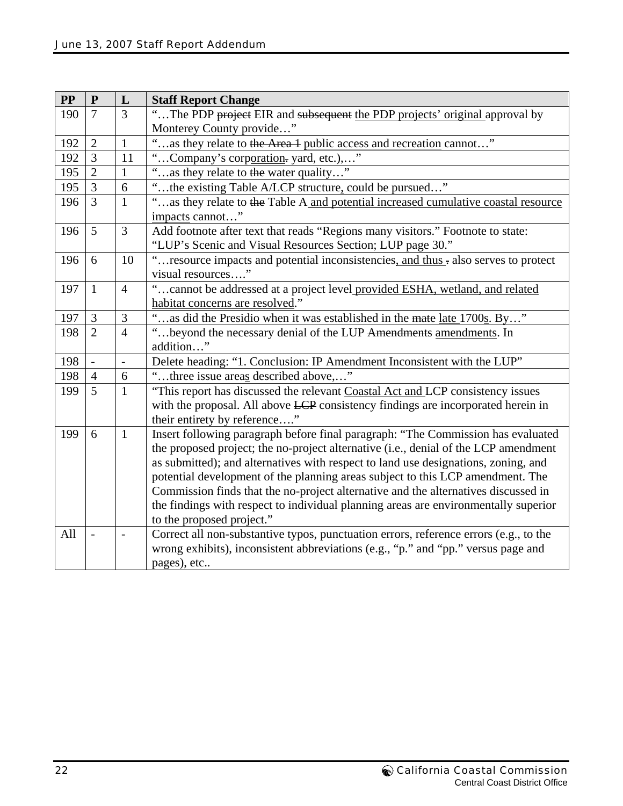| <b>PP</b> | ${\bf P}$                | L                    | <b>Staff Report Change</b>                                                                                                                                                                                                                                                                                                                                                                                                                                                                                                                                |  |  |  |
|-----------|--------------------------|----------------------|-----------------------------------------------------------------------------------------------------------------------------------------------------------------------------------------------------------------------------------------------------------------------------------------------------------------------------------------------------------------------------------------------------------------------------------------------------------------------------------------------------------------------------------------------------------|--|--|--|
| 190       | $\overline{7}$           | 3                    | "The PDP project EIR and subsequent the PDP projects' original approval by                                                                                                                                                                                                                                                                                                                                                                                                                                                                                |  |  |  |
|           |                          |                      | Monterey County provide"                                                                                                                                                                                                                                                                                                                                                                                                                                                                                                                                  |  |  |  |
| 192       | $\overline{2}$           | $\mathbf{1}$         | as they relate to the Area 1 public access and recreation cannot"                                                                                                                                                                                                                                                                                                                                                                                                                                                                                         |  |  |  |
| 192       | 3                        | 11                   | "Company's corporation. yard, etc.),"                                                                                                                                                                                                                                                                                                                                                                                                                                                                                                                     |  |  |  |
| 195       | $\overline{2}$           | $\mathbf{1}$         | 66<br>as they relate to the water quality"                                                                                                                                                                                                                                                                                                                                                                                                                                                                                                                |  |  |  |
| 195       | $\overline{3}$           | 6                    | the existing Table A/LCP structure, could be pursued"                                                                                                                                                                                                                                                                                                                                                                                                                                                                                                     |  |  |  |
| 196       | $\overline{3}$           | $\mathbf{1}$         | "as they relate to the Table A and potential increased cumulative coastal resource<br>impacts cannot"                                                                                                                                                                                                                                                                                                                                                                                                                                                     |  |  |  |
| 196       | 5                        | 3                    | Add footnote after text that reads "Regions many visitors." Footnote to state:<br>"LUP's Scenic and Visual Resources Section; LUP page 30."                                                                                                                                                                                                                                                                                                                                                                                                               |  |  |  |
| 196       | 6                        | 10                   | "resource impacts and potential inconsistencies, and thus - also serves to protect<br>visual resources"                                                                                                                                                                                                                                                                                                                                                                                                                                                   |  |  |  |
| 197       | $\mathbf{1}$             | $\overline{4}$       | " cannot be addressed at a project level provided ESHA, wetland, and related<br>habitat concerns are resolved."                                                                                                                                                                                                                                                                                                                                                                                                                                           |  |  |  |
| 197       | $\mathfrak{Z}$           | 3                    | "as did the Presidio when it was established in the mate late 1700s. By"                                                                                                                                                                                                                                                                                                                                                                                                                                                                                  |  |  |  |
| 198       | $\overline{2}$           | $\overline{4}$       | "beyond the necessary denial of the LUP Amendments amendments. In<br>addition"                                                                                                                                                                                                                                                                                                                                                                                                                                                                            |  |  |  |
| 198       |                          | $\frac{1}{\sqrt{2}}$ | Delete heading: "1. Conclusion: IP Amendment Inconsistent with the LUP"                                                                                                                                                                                                                                                                                                                                                                                                                                                                                   |  |  |  |
| 198       | $\overline{4}$           | 6                    | "three issue areas described above,"                                                                                                                                                                                                                                                                                                                                                                                                                                                                                                                      |  |  |  |
| 199       | 5                        | $\mathbf{1}$         | "This report has discussed the relevant Coastal Act and LCP consistency issues<br>with the proposal. All above LCP consistency findings are incorporated herein in<br>their entirety by reference"                                                                                                                                                                                                                                                                                                                                                        |  |  |  |
| 199       | 6                        | $\mathbf{1}$         | Insert following paragraph before final paragraph: "The Commission has evaluated<br>the proposed project; the no-project alternative (i.e., denial of the LCP amendment<br>as submitted); and alternatives with respect to land use designations, zoning, and<br>potential development of the planning areas subject to this LCP amendment. The<br>Commission finds that the no-project alternative and the alternatives discussed in<br>the findings with respect to individual planning areas are environmentally superior<br>to the proposed project." |  |  |  |
| All       | $\overline{\phantom{a}}$ |                      | Correct all non-substantive typos, punctuation errors, reference errors (e.g., to the<br>wrong exhibits), inconsistent abbreviations (e.g., "p." and "pp." versus page and<br>pages), etc                                                                                                                                                                                                                                                                                                                                                                 |  |  |  |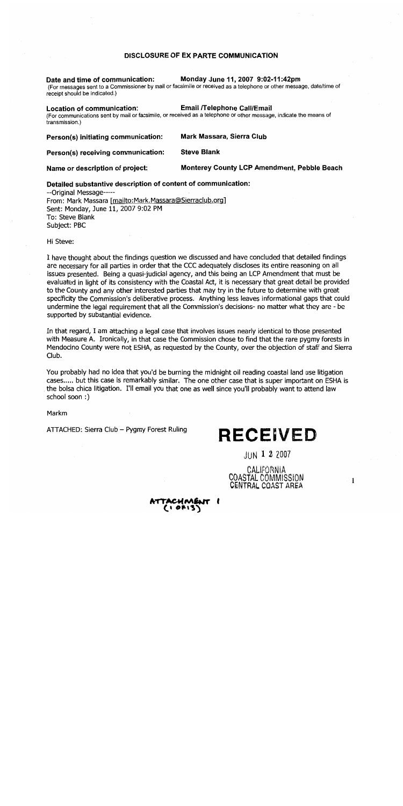### DISCLOSURE OF EX PARTE COMMUNICATION

### Date and time of communication: Monday June 11, 2007 9:02-11:42pm (For messages sent to a Commissioner by mail or facsimile or received as a telephone or other message, date/time of receipt should be indicated.) Location of communication: **Email /Telephone Call/Email** (For communications sent by mail or facsimile, or received as a telephone or other message, indicate the means of transmission.) Person(s) initiating communication: **Mark Massara, Sierra Club Steve Blank** Person(s) receiving communication:

**Monterey County LCP Amendment, Pebble Beach** Name or description of project:

### Detailed substantive description of content of communication:

--Original Message-----From: Mark Massara [mailto:Mark.Massara@Sierraclub.org] Sent: Monday, June 11, 2007 9:02 PM To: Steve Blank Subject: PBC

Hi Steve:

I have thought about the findings question we discussed and have concluded that detailed findings are necessary for all parties in order that the CCC adequately discloses its entire reasoning on all issues presented. Being a quasi-judicial agency, and this being an LCP Amendment that must be evaluated in light of its consistency with the Coastal Act, it is necessary that great detail be provided to the County and any other interested parties that may try in the future to determine with great specificity the Commission's deliberative process. Anything less leaves informational gaps that could undermine the legal requirement that all the Commission's decisions- no matter what they are - be supported by substantial evidence.

In that regard, I am attaching a legal case that involves issues nearly identical to those presented with Measure A. Ironically, in that case the Commission chose to find that the rare pygmy forests in Mendocino County were not ESHA, as requested by the County, over the objection of staff and Sierra Club.

You probably had no idea that you'd be burning the midnight oil reading coastal land use litigation cases..... but this case is remarkably similar. The one other case that is super important on ESHA is the bolsa chica litigation. I'll email you that one as well since you'll probably want to attend law school soon:)

Markm

ATTACHED: Sierra Club - Pygmy Forest Ruling

# **RECEIVED**

 $JUN$  1 2 2007

CALIFORNIA COASTAL COMMISSION CENTRAL COAST AREA

 $-1$ 

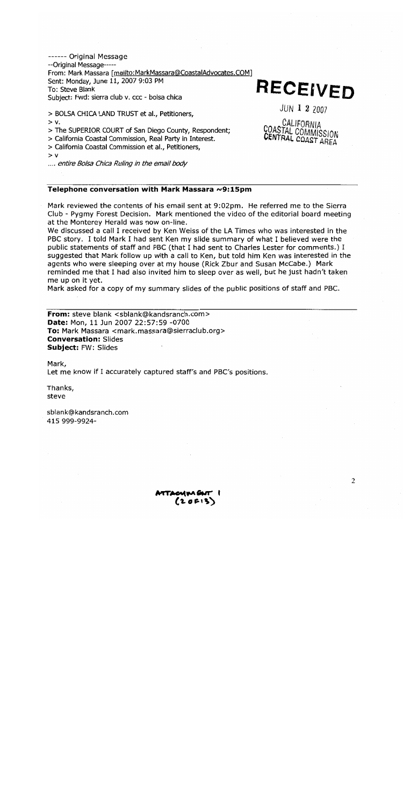------ Original Message --Original Message-----From: Mark Massara [mailto:MarkMassara@CoastalAdvocates.COM] Sent: Monday, June 11, 2007 9:03 PM To: Steve Blank Subject: Fwd: sierra club v. ccc - bolsa chica

**RECEIVED** 

JUN 1 2 2007

CALIFORNIA

COASTAL COMMISSION

CENTRAL COAST AREA

> BOLSA CHICA LAND TRUST et al., Petitioners,

 $> v$ .

> The SUPERIOR COURT of San Diego County, Respondent;

> California Coastal Commission, Real Party in Interest.

> California Coastal Commission et al., Petitioners,

 $> v$ 

..., entire Bolsa Chica Ruling in the email body

### Telephone conversation with Mark Massara ~9:15pm

Mark reviewed the contents of his email sent at 9:02pm. He referred me to the Sierra Club - Pygmy Forest Decision. Mark mentioned the video of the editorial board meeting at the Monterey Herald was now on-line.

We discussed a call I received by Ken Weiss of the LA Times who was interested in the PBC story. I told Mark I had sent Ken my slide summary of what I believed were the public statements of staff and PBC (that I had sent to Charles Lester for comments.) I suggested that Mark follow up with a call to Ken, but told him Ken was interested in the agents who were sleeping over at my house (Rick Zbur and Susan McCabe.) Mark reminded me that I had also invited him to sleep over as well, but he just hadn't taken me up on it yet.

Mark asked for a copy of my summary slides of the public positions of staff and PBC.

From: steve blank <sblank@kandsranch.com> Date: Mon, 11 Jun 2007 22:57:59 -0700 To: Mark Massara <mark.massara@sierraclub.org> **Conversation: Slides** Subject: FW: Slides

Mark, Let me know if I accurately captured staff's and PBC's positions.

Thanks, steve

sblank@kandsranch.com 415 999-9924-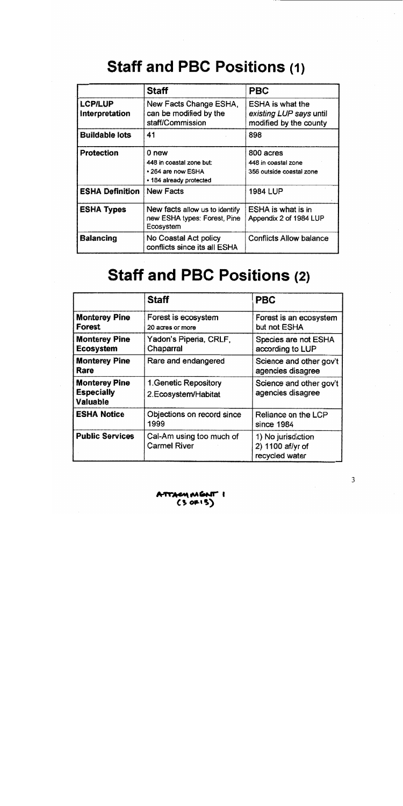# **Staff and PBC Positions (1)**

|                                  | <b>Staff</b>                                                                       | <b>PBC</b>                                                                   |
|----------------------------------|------------------------------------------------------------------------------------|------------------------------------------------------------------------------|
| <b>LCP/LUP</b><br>Interpretation | New Facts Change ESHA,<br>can be modified by the<br>staff/Commission               | <b>ESHA</b> is what the<br>existing LUP says until<br>modified by the county |
| <b>Buildable lots</b>            | 41                                                                                 | 898                                                                          |
| <b>Protection</b>                | 0 new<br>448 in coastal zone but:<br>• 264 are now ESHA<br>• 184 already protected | 800 acres<br>448 in coastal zone<br>356 outside coastal zone                 |
| <b>ESHA Definition</b>           | <b>New Facts</b>                                                                   | 1984 LUP                                                                     |
| <b>ESHA Types</b>                | New facts allow us to identify<br>new ESHA types: Forest, Pine<br>Ecosystem        | <b>ESHA is what is in</b><br>Appendix 2 of 1984 LUP                          |
| <b>Balancing</b>                 | No Coastal Act policy<br>conflicts since its all ESHA                              | <b>Conflicts Allow balance</b>                                               |

# **Staff and PBC Positions (2)**

|                                                       | <b>Staff</b>                                    | <b>PBC</b>                                               |
|-------------------------------------------------------|-------------------------------------------------|----------------------------------------------------------|
| <b>Monterey Pine</b><br>Forest                        | Forest is ecosystem<br>20 acres or more         | Forest is an ecosystem<br>but not ESHA                   |
| <b>Monterey Pine</b><br><b>Ecosystem</b>              | Yadon's Piperia, CRLF,<br>Chaparral             | Species are not ESHA<br>according to LUP                 |
| <b>Monterey Pine</b><br>Rare                          | Rare and endangered                             | Science and other gov't<br>agencies disagree             |
| <b>Monterey Pine</b><br><b>Especially</b><br>Valuable | 1. Genetic Repository<br>2. Ecosystem/Habitat   | Science and other gov't<br>agencies disagree             |
| <b>ESHA Notice</b>                                    | Objections on record since<br>1999              | Reliance on the LCP<br>since 1984                        |
| <b>Public Services</b>                                | Cal-Am using too much of<br><b>Carmel River</b> | 1) No jurisdiction<br>2) 1100 af/yr of<br>recycled water |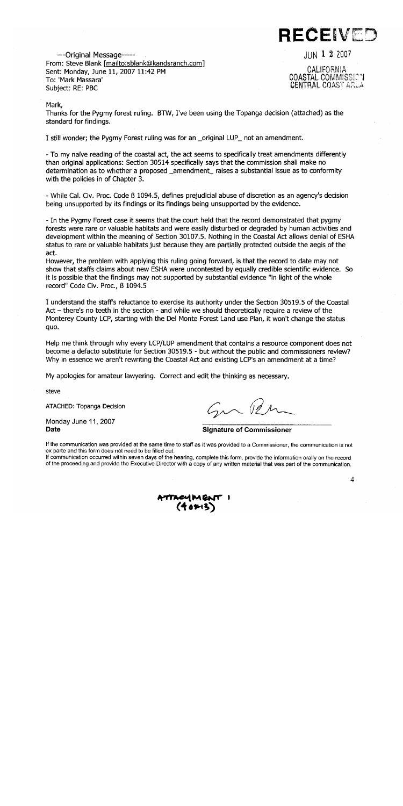

 $JUN$  1 2 2007

---Original Message-----From: Steve Blank [mailto:sblank@kandsranch.com] Sent: Monday, June 11, 2007 11:42 PM To: 'Mark Massara' Subject: RE: PBC

CALIFORNIA **COASTAL COMMISSIC V** CENTRAL COAST AREA

### Mark,

Thanks for the Pygmy forest ruling. BTW, I've been using the Topanga decision (attached) as the standard for findings.

I still wonder; the Pygmy Forest ruling was for an \_original LUP\_ not an amendment.

- To my naïve reading of the coastal act, the act seems to specifically treat amendments differently than original applications: Section 30514 specifically says that the commission shall make no determination as to whether a proposed \_amendment\_ raises a substantial issue as to conformity with the policies in of Chapter 3.

- While Cal. Civ. Proc. Code B 1094.5, defines prejudicial abuse of discretion as an agency's decision being unsupported by its findings or its findings being unsupported by the evidence.

- In the Pygmy Forest case it seems that the court held that the record demonstrated that pygmy forests were rare or valuable habitats and were easily disturbed or degraded by human activities and development within the meaning of Section 30107.5. Nothing in the Coastal Act allows denial of ESHA status to rare or valuable habitats just because they are partially protected outside the aegis of the act.

However, the problem with applying this ruling going forward, is that the record to date may not show that staffs claims about new ESHA were uncontested by equally credible scientific evidence. So it is possible that the findings may not supported by substantial evidence "in light of the whole record" Code Civ. Proc., ß 1094.5

I understand the staff's reluctance to exercise its authority under the Section 30519.5 of the Coastal Act – there's no teeth in the section - and while we should theoretically require a review of the Monterey County LCP, starting with the Del Monte Forest Land use Plan, it won't change the status quo.

Help me think through why every LCP/LUP amendment that contains a resource component does not become a defacto substitute for Section 30519.5 - but without the public and commissioners review? Why in essence we aren't rewriting the Coastal Act and existing LCP's an amendment at a time?

My apologies for amateur lawyering. Correct and edit the thinking as necessary.

steve

ATACHED: Topanga Decision

Monday June 11, 2007 **Date** 

**Signature of Commissioner** 

If the communication was provided at the same time to staff as it was provided to a Commissioner, the communication is not ex parte and this form does not need to be filled out.

If communication occurred within seven days of the hearing, complete this form, provide the information orally on the record of the proceeding and provide the Executive Director with a copy of any written material that was part of the communication.

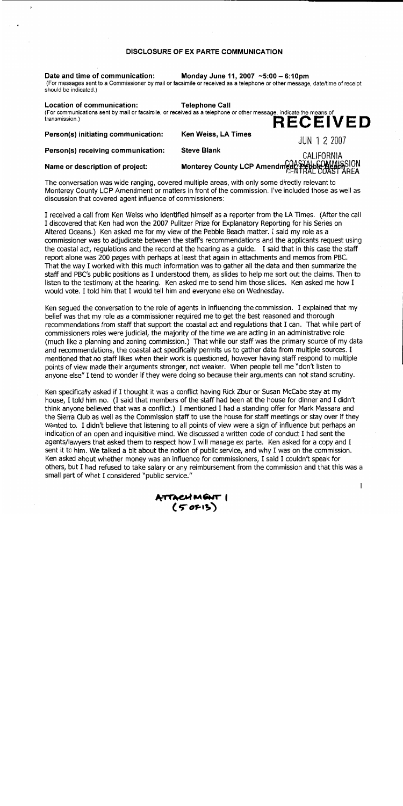### **DISCLOSURE OF EX PARTE COMMUNICATION**

Date and time of communication: Monday June 11, 2007  $-5:00 - 6:10 \text{pm}$ (For messages sent to a Commissioner by mail or facsimile or received as a telephone or other message, date/time of receipt should be indicated.)

Location of communication: **Telephone Call** (For communications sent by mail or facsimile, or received as a telephone or other message, indicate the means of transmission.) **RECEIVED** Ken Weiss, LA Times Person(s) initiating communication: **JUN 1 2 2007** 

Name or description of project:

Person(s) receiving communication:

ï

CALIFORNIA Monterey County LCP Amendme PASTAL COMMISSION

The conversation was wide ranging, covered multiple areas, with only some directly relevant to Monterey County LCP Amendment or matters in front of the commission. I've included those as well as discussion that covered agent influence of commissioners:

**Steve Blank** 

I received a call from Ken Weiss who identified himself as a reporter from the LA Times. (After the call I discovered that Ken had won the 2007 Pulitzer Prize for Explanatory Reporting for his Series on Altered Oceans.) Ken asked me for my view of the Pebble Beach matter. I said my role as a commissioner was to adjudicate between the staff's recommendations and the applicants request using the coastal act, requlations and the record at the hearing as a quide. I said that in this case the staff report alone was 200 pages with perhaps at least that again in attachments and memos from PBC. That the way I worked with this much information was to gather all the data and then summarize the staff and PBC's public positions as I understood them, as slides to help me sort out the claims. Then to listen to the testimony at the hearing. Ken asked me to send him those slides. Ken asked me how I would vote. I told him that I would tell him and everyone else on Wednesday.

Ken sequed the conversation to the role of agents in influencing the commission. I explained that my belief was that my role as a commissioner required me to get the best reasoned and thorough recommendations from staff that support the coastal act and regulations that I can. That while part of commissioners roles were judicial, the majority of the time we are acting in an administrative role (much like a planning and zoning commission.) That while our staff was the primary source of my data and recommendations, the coastal act specifically permits us to gather data from multiple sources. I mentioned that no staff likes when their work is questioned, however having staff respond to multiple points of view made their arguments stronger, not weaker. When people tell me "don't listen to anyone else" I tend to wonder if they were doing so because their arguments can not stand scrutiny.

Ken specifically asked if I thought it was a conflict having Rick Zbur or Susan McCabe stay at my house, I told him no. (I said that members of the staff had been at the house for dinner and I didn't think anyone believed that was a conflict.) I mentioned I had a standing offer for Mark Massara and the Sierra Club as well as the Commission staff to use the house for staff meetings or stay over if they wanted to. I didn't believe that listening to all points of view were a sign of influence but perhaps an indication of an open and inquisitive mind. We discussed a written code of conduct I had sent the agents/lawyers that asked them to respect how I will manage ex parte. Ken asked for a copy and I sent it to him. We talked a bit about the notion of public service, and why I was on the commission. Ken asked about whether money was an influence for commissioners, I said I couldn't speak for others, but I had refused to take salary or any reimbursement from the commission and that this was a small part of what I considered "public service."

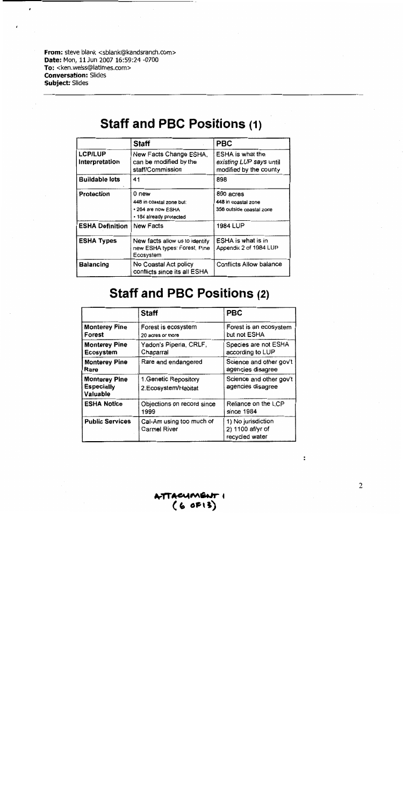From: steve blank <sblank@kandsranch.com> Date: Mon, 11 Jun 2007 16:59:24 -0700 To: <ken.weiss@latimes.com> **Conversation: Slides** Subject: Slides

## **Staff and PBC Positions (1)**

|                                  | <b>Staff</b>                                                                       | <b>PBC</b>                                                            |
|----------------------------------|------------------------------------------------------------------------------------|-----------------------------------------------------------------------|
| <b>LCP/LUP</b><br>Interpretation | New Facts Change ESHA,<br>can be modified by the<br>staff/Commission               | ESHA is what the<br>existing LUP says until<br>modified by the county |
| <b>Buildable lots</b>            | 41                                                                                 | 898                                                                   |
| Protection                       | 0 new<br>448 in coastal zone but:<br>• 264 are now ESHA<br>• 184 already protected | 800 acres<br>448 in coastal zone<br>356 outside coastal zone          |
| <b>ESHA Definition</b>           | New Facts                                                                          | 1984 LUP                                                              |
| <b>ESHA Types</b>                | New facts allow us to identify<br>new ESHA types: Forest, Pine<br>Ecosystem        | ESHA is what is in<br>Appendix 2 of 1984 LUP                          |
| <b>Balancing</b>                 | No Coastal Act policy<br>conflicts since its all ESHA                              | <b>Conflicts Allow balance</b>                                        |

## **Staff and PBC Positions (2)**

|                                                       | <b>Staff</b>                                 | <b>PBC</b>                                               |
|-------------------------------------------------------|----------------------------------------------|----------------------------------------------------------|
| <b>Monterey Pine</b><br>Forest                        | Forest is ecosystem<br>20 acres or more      | Forest is an ecosystem<br>but not ESHA                   |
| <b>Monterey Pine</b><br>Ecosystem                     | Yadon's Piperia, CRLF,<br>Chaparral          | Species are not ESHA<br>according to LUP                 |
| <b>Monterey Pine</b><br>Rare                          | Rare and endangered                          | Science and other gov't<br>agencies disagree             |
| <b>Monterey Pine</b><br><b>Especially</b><br>Valuable | 1. Genetic Repository<br>2.Ecosystem/Habitat | Science and other gov't<br>agencies disagree             |
| <b>ESHA Notice</b>                                    | Objections on record since<br>1999           | Reliance on the LCP<br>since 1984                        |
| <b>Public Services</b>                                | Cal-Am using too much of<br>Carmel River     | 1) No jurisdiction<br>2) 1100 af/yr of<br>recycled water |

ATTACUMENT!<br>(6 OF13)

 $\sqrt{2}$ 

 $\ddot{\phantom{a}}$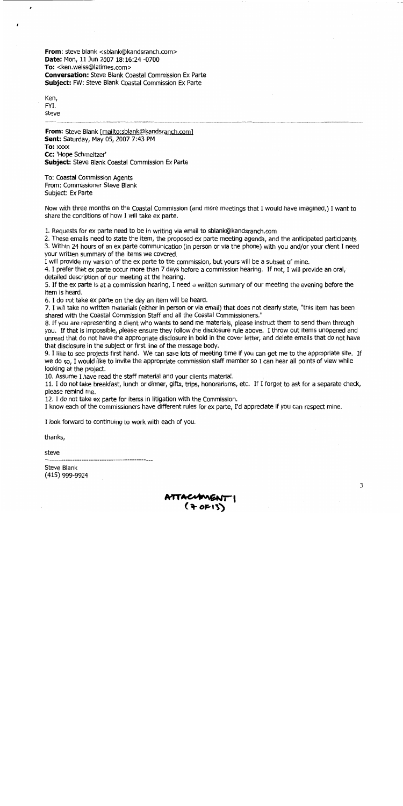From: steve blank <sblank@kandsranch.com> Date: Mon, 11 Jun 2007 18:16:24 -0700 To: <ken.weiss@latimes.com> **Conversation:** Steve Blank Coastal Commission Ex Parte Subject: FW: Steve Blank Coastal Commission Ex Parte

Ken, FYI. steve

ż

From: Steve Blank [mailto:sblank@kandsranch.com] Sent: Saturday, May 05, 2007 7:43 PM To: xxxx Cc: 'Hope Schmeltzer' **Subject:** Steve Blank Coastal Commission Ex Parte

To: Coastal Commission Agents From: Commissioner Steve Blank Subject: Ex Parte

Now with three months on the Coastal Commission (and more meetings that I would have imagined,) I want to share the conditions of how I will take ex parte.

1. Requests for ex parte need to be in writing via email to sblank@kandsranch.com

2. These emails need to state the item, the proposed ex parte meeting agenda, and the anticipated participants

3. Within 24 hours of an ex parte communication (in person or via the phone) with you and/or your client I need your written summary of the items we covered.

I will provide my version of the ex parte to the commission, but yours will be a subset of mine.

4. I prefer that ex parte occur more than 7 days before a commission hearing. If not, I will provide an oral, detailed description of our meeting at the hearing.

5. If the ex parte is at a commission hearing, I need a written summary of our meeting the evening before the item is heard.

6. I do not take ex parte on the day an item will be heard.

7. I will take no written materials (either in person or via email) that does not clearly state, "this item has been shared with the Coastal Commission Staff and all the Coastal Commissioners."

8. If you are representing a client who wants to send me materials, please instruct them to send them through you. If that is impossible, please ensure they follow the disclosure rule above. I throw out items unopened and unread that do not have the appropriate disclosure in bold in the cover letter, and delete emails that do not have that disclosure in the subject or first line of the message body.

9. I like to see projects first hand. We can save lots of meeting time if you can get me to the appropriate site. If we do so, I would like to invite the appropriate commission staff member so I can hear all points of view while looking at the project.

10. Assume I have read the staff material and your clients material.

11. I do not take breakfast, lunch or dinner, gifts, trips, honorariums, etc. If I forget to ask for a separate check, please remind me.

12. I do not take ex parte for items in litigation with the Commission.

I know each of the commissioners have different rules for ex parte, I'd appreciate if you can respect mine.

I look forward to continuing to work with each of you.

thanks,

steve

. \_\_\_\_\_\_\_\_\_\_\_\_\_\_\_\_\_\_\_\_\_\_\_\_\_\_\_\_

Steve Blank (415) 999-9924

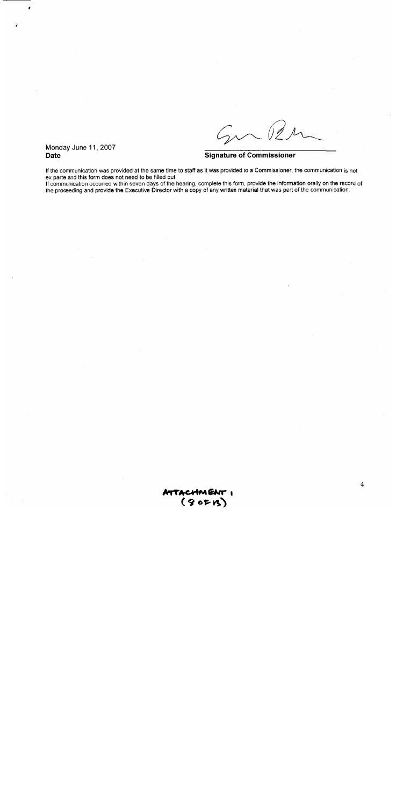$G_{\!\scriptscriptstyle\mathcal{M}}$ 02

Monday June 11, 2007 **Date** 

### **Signature of Commissioner**

If the communication was provided at the same time to staff as it was provided to a Commissioner, the communication is not ex parte and this form does not need to be filled out.

If communication occurred within seven days of the hearing, complete this form, provide the information orally on the record of the proceeding and provide the Executive Director with a copy of any written material that was part of the communication.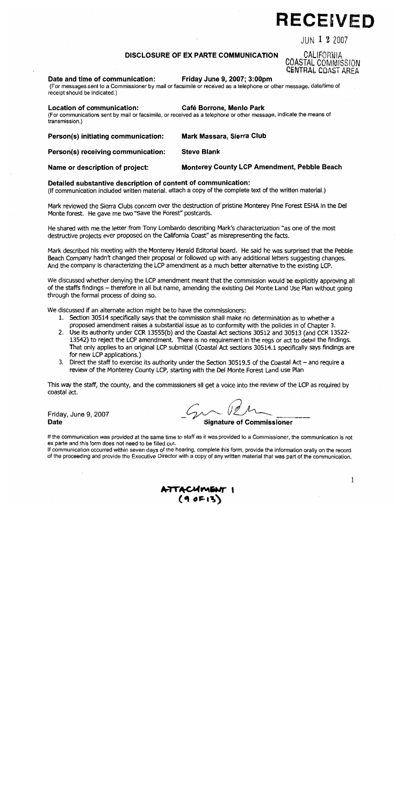# **RECEIVED**

JUN 1 2 2007

CALIFORNIA

COASTAL COMMISSION CENTRAL COAST AREA

### **DISCLOSURE OF EX PARTE COMMUNICATION**

#### Date and time of communication: Friday June 9, 2007; 3:00pm

(For messages sent to a Commissioner by mail or facsimile or received as a telephone or other message, date/time of receipt should be indicated.)

#### **Location of communication:** Café Borrone. Menio Park

(For communications sent by mail or facsimile, or received as a telephone or other message, indicate the means of transmission.)

Mark Massara, Sierra Club Person(s) initiating communication:

#### Person(s) receiving communication: **Steve Blank**

Name or description of project:

### Detailed substantive description of content of communication:

(If communication included written material, attach a copy of the complete text of the written material.)

Mark reviewed the Sierra Clubs concern over the destruction of pristine Monterey Pine Forest ESHA in the Del Monte forest. He gave me two "Save the Forest" postcards.

He shared with me the letter from Tony Lombardo describing Mark's characterization "as one of the most destructive projects ever proposed on the California Coast" as misrepresenting the facts.

Mark described his meeting with the Monterey Herald Editorial board. He said he was surprised that the Pebble Beach Company hadn't changed their proposal or followed up with any additional letters suggesting changes. And the company is characterizing the LCP amendment as a much better alternative to the existing LCP.

We discussed whether denying the LCP amendment meant that the commission would be explicitly approving all of the staffs findings – therefore in all but name, amending the existing Del Monte Land Use Plan without going through the formal process of doing so.

We discussed if an alternate action might be to have the commissioners:

- 1. Section 30514 specifically says that the commission shall make no determination as to whether a proposed amendment raises a substantial issue as to conformity with the policies in of Chapter 3.
- 2. Use its authority under CCR 13555(b) and the Coastal Act sections 30512 and 30513 (and CCR 13522-13542) to reject the LCP amendment. There is no requirement in the regs or act to detail the findings. That only applies to an original LCP submittal (Coastal Act sections 30514.1 specifically says findings are for new LCP applications.)
- 3. Direct the staff to exercise its authority under the Section 30519.5 of the Coastal Act and require a review of the Monterey County LCP, starting with the Del Monte Forest Land use Plan

This way the staff, the county, and the commissioners all get a voice into the review of the LCP as required by coastal act.

Friday, June 9, 2007 **Date** 

 $2\lambda\sim$  12  $\lambda$ 

**Signature of Commissioner** 

**Monterey County LCP Amendment, Pebble Beach** 

If the communication was provided at the same time to staff as it was provided to a Commissioner, the communication is not ex parte and this form does not need to be filled out.

If communication occurred within seven days of the hearing, complete this form, provide the information orally on the record of the proceeding and provide the Executive Director with a copy of any written material that was part of the communication.

 $\mathbf{1}$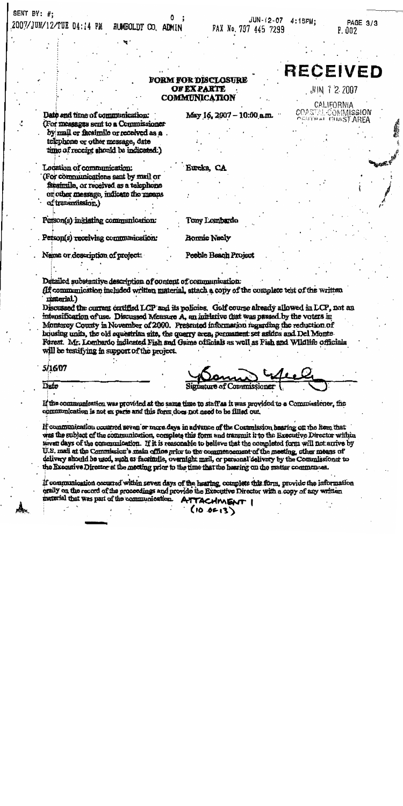### SENT BY:  $#$ ;

#### 2007/JUN/12/TUE 04:14 PM HUMBOLDT CO. ADMIN

PAGE 3/3 P. 002

### **FORM FOR DISCLOSURE OF EX PARTE COMMUNICATION**

May 16, 2007 - 10:00 a.m.

**RECEIVED** 

UIN 12 2007

CALIFORNIA **COASTAL COMMISSION CENTBAL BUAST AREA** 

Date and time of communication: (For messages sent to a Commissioner by mail or facsimile or received as a. telephone or other message, date time of receipt should be indicated.)

Location of communication: (For communications sent by mail or

facaimile, or received as a telephone or other message, indicate the means of transmission.)

Person(s) initiating communication:

Person(s) receiving communication:

Name or description of project:

Tony Lombardo

Eurcka, CA

**Bonnie Neely** 

Peeble Beach Project

Detailed substantive description of content of communication:

(If communication included written material, attach a copy of the complete test of the written material.)

Discussed the current certified LCP and its policies. Golf course already allowed in LCP, not an intensification of use. Discussed Measure A, an initiative that was passed by the voters in Monterey County in November of 2000. Presented information regarding the reduction of housing units, the old equestrian site, the quarry area, permanent set asides and Del Monte Forest. Mr. Lombardo indicated Fish and Game officials as well as Fish and Wildlife officials will be testifying in support of the project.

5/16/07

mature of Commissioner

Dafe

If the communication was provided at the same time to staff as it was provided to a Communicationer, the communication is not ex parts and this form does not need to be filled out.

If communication occurred seven or more days in advance of the Commission hearing on the item that was the subject of the communication, complete this form and transmit it to the Executive Director within siven days of the communication. If it is reasonable to believe that the connieted form will not arrive by U.S. mail at the Commission's main office prior to the commencement of the meeting, other means of delivery should be used, such as facsimile, overnight mail, or personal delivery by the Commissioner to the Executive Director at the meeting prior to the time that the hearing on the matter commences.

If communication occurred within seven days of the hearing, complete this form, provide the information orally on the record of the proceedings and provide the Executive Director with a copy of any written ATTACHMENT I material that was part of the communication.

 $(10.0F13)$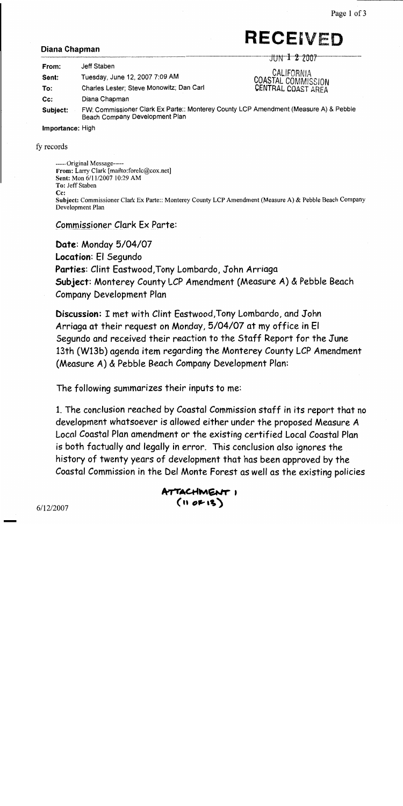# **RECEIVED**

### Diana Chapman

| From:            | Jeff Staben                                                                                                            | JUN $1\,2\,2007$                                       |  |
|------------------|------------------------------------------------------------------------------------------------------------------------|--------------------------------------------------------|--|
| Sent:            | Tuesday, June 12, 2007 7:09 AM                                                                                         | CALIFORNIA<br>COASTAL COMMISSION<br>CENTRAL COAST AREA |  |
| To:              | Charles Lester; Steve Monowitz; Dan Carl                                                                               |                                                        |  |
| Cc:              | Diana Chapman                                                                                                          |                                                        |  |
| Subject:         | FW: Commissioner Clark Ex Parte:: Monterey County LCP Amendment (Measure A) & Pebble<br>Beach Company Development Plan |                                                        |  |
| Importance: High |                                                                                                                        |                                                        |  |

fy records

-----Original Message-----From: Larry Clark [mailto:forelc@cox.net] Sent: Mon 6/11/2007 10:29 AM To: Jeff Staben  $C_{\mathbb{C}}$ : Subject: Commissioner Clark Ex Parte:: Monterey County LCP Amendment (Measure A) & Pebble Beach Company Development Plan

**Commissioner Clark Ex Parte:** 

Date: Monday 5/04/07 Location: El Segundo Parties: Clint Eastwood, Tony Lombardo, John Arriaga Subject: Monterey County LCP Amendment (Measure A) & Pebble Beach Company Development Plan

Discussion: I met with Clint Eastwood, Tony Lombardo, and John Arriaga at their request on Monday, 5/04/07 at my office in El Segundo and received their reaction to the Staff Report for the June 13th (W13b) agenda item regarding the Monterey County LCP Amendment (Measure A) & Pebble Beach Company Development Plan:

The following summarizes their inputs to me:

1. The conclusion reached by Coastal Commission staff in its report that no development whatsoever is allowed either under the proposed Measure A Local Coastal Plan amendment or the existing certified Local Coastal Plan is both factually and legally in error. This conclusion also ignores the history of twenty years of development that has been approved by the Coastal Commission in the Del Monte Forest as well as the existing policies

ATTACHIMENT I  $(100F13)$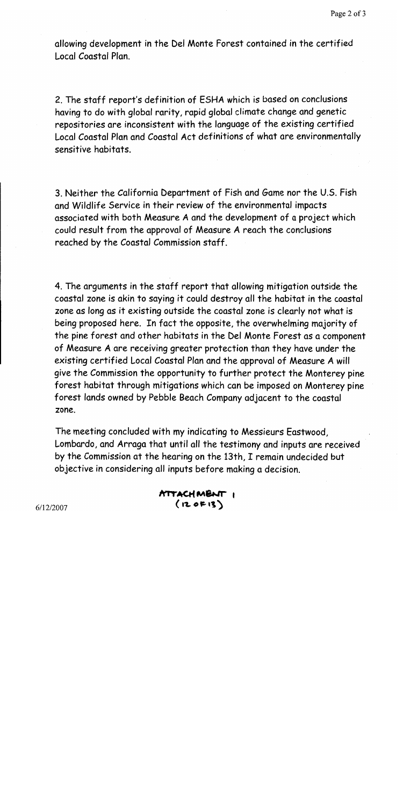allowing development in the Del Monte Forest contained in the certified Local Coastal Plan

2. The staff report's definition of ESHA which is based on conclusions having to do with global rarity, rapid global climate change and genetic repositories are inconsistent with the language of the existing certified Local Coastal Plan and Coastal Act definitions of what are environmentally sensitive habitats.

3. Neither the California Department of Fish and Game nor the U.S. Fish and Wildlife Service in their review of the environmental impacts associated with both Measure A and the development of a project which could result from the approval of Measure A reach the conclusions reached by the Coastal Commission staff.

4. The arguments in the staff report that allowing mitigation outside the coastal zone is akin to saying it could destroy all the habitat in the coastal zone as long as it existing outside the coastal zone is clearly not what is being proposed here. In fact the opposite, the overwhelming majority of the pine forest and other habitats in the Del Monte Forest as a component of Measure A are receiving greater protection than they have under the existing certified Local Coastal Plan and the approval of Measure A will give the Commission the opportunity to further protect the Monterey pine forest habitat through mitigations which can be imposed on Monterey pine forest lands owned by Pebble Beach Company adjacent to the coastal zone.

The meeting concluded with my indicating to Messieurs Eastwood, Lombardo, and Arraga that until all the testimony and inputs are received by the Commission at the hearing on the 13th, I remain undecided but objective in considering all inputs before making a decision.

> ATTACHMENT I  $(120F13)$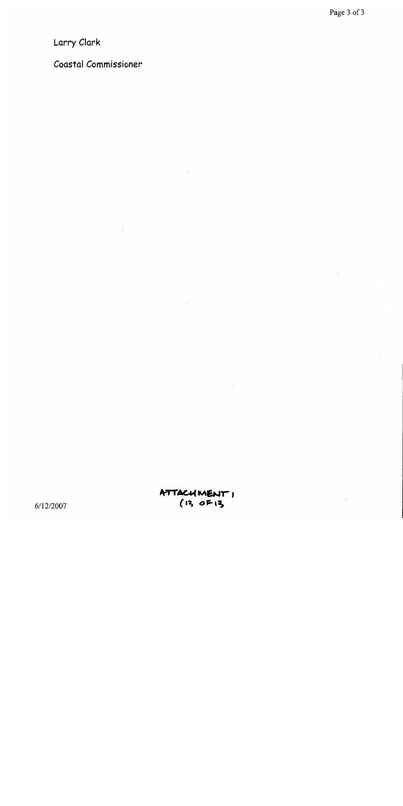## Larry Clark

## Coastal Commissioner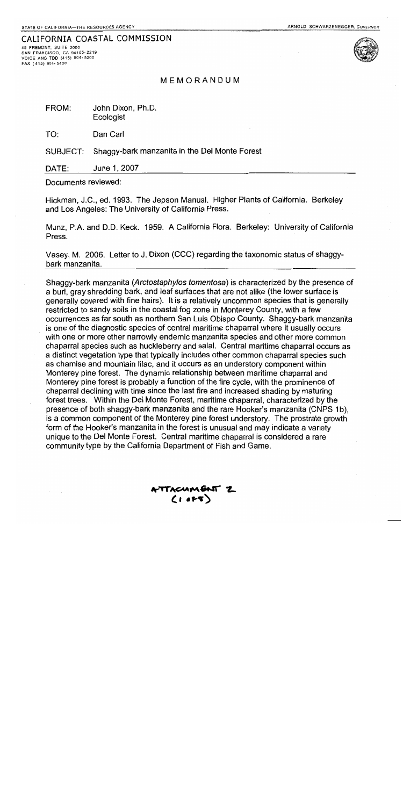### CALIFORNIA COASTAL COMMISSION

45 FREMONT, SUITE 2000 SAN FRANCISCO, CA 94105-2219 VOICE AND TDD (415) 904-5200 FAX (415) 904-5400



MEMORANDUM

FROM: John Dixon, Ph.D. Ecologist

TO: Dan Carl

Shaggy-bark manzanita in the Del Monte Forest SUBJECT:

DATE: June 1, 2007

Documents reviewed:

Hickman, J.C., ed. 1993. The Jepson Manual. Higher Plants of California. Berkeley and Los Angeles: The University of California Press.

Munz, P.A. and D.D. Keck. 1959. A California Flora. Berkeley: University of California Press.

Vasey, M. 2006. Letter to J. Dixon (CCC) regarding the taxonomic status of shaggybark manzanita.

Shaggy-bark manzanita (Arctostaphylos tomentosa) is characterized by the presence of a burl, gray shredding bark, and leaf surfaces that are not alike (the lower surface is generally covered with fine hairs). It is a relatively uncommon species that is generally restricted to sandy soils in the coastal fog zone in Monterey County, with a few occurrences as far south as northern San Luis Obispo County. Shaggy-bark manzanita is one of the diagnostic species of central maritime chaparral where it usually occurs with one or more other narrowly endemic manzanita species and other more common chaparral species such as huckleberry and salal. Central maritime chaparral occurs as a distinct vegetation type that typically includes other common chaparral species such as chamise and mountain lilac, and it occurs as an understory component within Monterey pine forest. The dynamic relationship between maritime chaparral and Monterey pine forest is probably a function of the fire cycle, with the prominence of chaparral declining with time since the last fire and increased shading by maturing forest trees. Within the Del Monte Forest, maritime chaparral, characterized by the presence of both shaggy-bark manzanita and the rare Hooker's manzanita (CNPS 1b), is a common component of the Monterey pine forest understory. The prostrate growth form of the Hooker's manzanita in the forest is unusual and may indicate a variety unique to the Del Monte Forest. Central maritime chaparral is considered a rare community type by the California Department of Fish and Game.

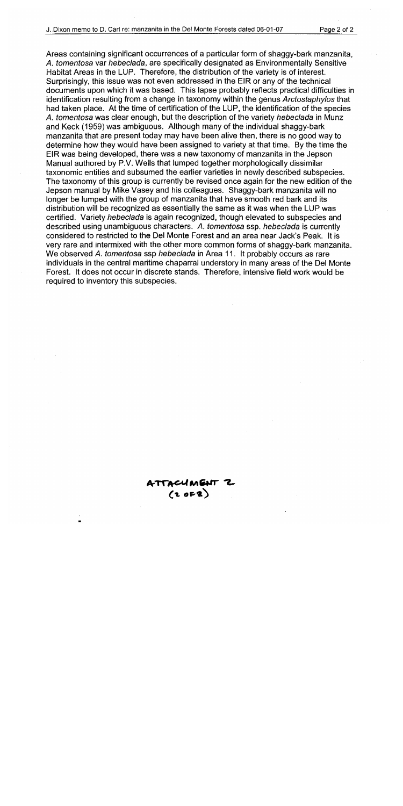Areas containing significant occurrences of a particular form of shaggy-bark manzanita. A. tomentosa var hebeclada, are specifically designated as Environmentally Sensitive Habitat Areas in the LUP. Therefore, the distribution of the variety is of interest. Surprisingly, this issue was not even addressed in the EIR or any of the technical documents upon which it was based. This lapse probably reflects practical difficulties in identification resulting from a change in taxonomy within the genus Arctostaphylos that had taken place. At the time of certification of the LUP, the identification of the species A. tomentosa was clear enough, but the description of the variety hebeclada in Munz and Keck (1959) was ambiguous. Although many of the individual shaggy-bark manzanita that are present today may have been alive then, there is no good way to determine how they would have been assigned to variety at that time. By the time the EIR was being developed, there was a new taxonomy of manzanita in the Jepson Manual authored by P.V. Wells that lumped together morphologically dissimilar taxonomic entities and subsumed the earlier varieties in newly described subspecies. The taxonomy of this group is currently be revised once again for the new edition of the Jepson manual by Mike Vasey and his colleagues. Shaggy-bark manzanita will no longer be lumped with the group of manzanita that have smooth red bark and its distribution will be recognized as essentially the same as it was when the LUP was certified. Variety hebeclada is again recognized, though elevated to subspecies and described using unambiguous characters. A. tomentosa ssp. hebeclada is currently considered to restricted to the Del Monte Forest and an area near Jack's Peak. It is very rare and intermixed with the other more common forms of shaggy-bark manzanita. We observed A. tomentosa ssp hebeclada in Area 11. It probably occurs as rare individuals in the central maritime chaparral understory in many areas of the Del Monte Forest. It does not occur in discrete stands. Therefore, intensive field work would be required to inventory this subspecies.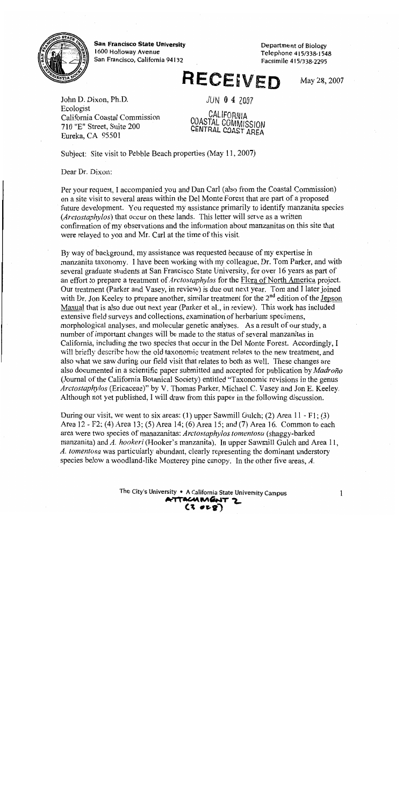

**San Francisco State University** 1600 Holloway Avenue San Francisco, California 94132

Department of Biology Telephone 415/338-1548 Facsimile 415/338-2295

# RECEIVED

May 28, 2007

John D. Dixon, Ph.D. Ecologist California Coastal Commission 710 "E" Street, Suite 200 Eureka, CA 95501

 $JUN$  0 4 2007

CALIFORNIA COASTAL COMMISSION CENTRAL COAST AREA

Subject: Site visit to Pebble Beach properties (May 11, 2007)

Dear Dr. Dixon:

Per your request, I accompanied you and Dan Carl (also from the Coastal Commission) on a site visit to several areas within the Del Monte Forest that are part of a proposed future development. You requested my assistance primarily to identify manzanita species (Arctostaphylos) that occur on these lands. This letter will serve as a written confirmation of my observations and the information about manzanitas on this site that were relayed to you and Mr. Carl at the time of this visit.

By way of background, my assistance was requested because of my expertise in manzanita taxonomy. I have been working with my colleague, Dr. Tom Parker, and with several graduate students at San Francisco State University, for over 16 years as part of an effort to prepare a treatment of *Arctostaphylos* for the Flora of North America project. Our treatment (Parker and Vasey, in review) is due out next year. Tom and I later joined with Dr. Jon Keeley to prepare another, similar treatment for the 2<sup>nd</sup> edition of the Jepson Manual that is also due out next year (Parker et al., in review). This work has included extensive field surveys and collections, examination of herbarium specimens, morphological analyses, and molecular genetic analyses. As a result of our study, a number of important changes will be made to the status of several manzanitas in California, including the two species that occur in the Del Monte Forest. Accordingly, I will briefly describe how the old taxonomic treatment relates to the new treatment, and also what we saw during our field visit that relates to both as well. These changes are also documented in a scientific paper submitted and accepted for publication by Madroño (Journal of the California Botanical Society) entitled "Taxonomic revisions in the genus Arctostaphylos (Ericaceae)" by V. Thomas Parker, Michael C. Vasey and Jon E. Keeley. Although not yet published, I will draw from this paper in the following discussion.

During our visit, we went to six areas: (1) upper Sawmill Gulch; (2) Area  $11 - F1$ ; (3) Area 12 - F2; (4) Area 13; (5) Area 14; (6) Area 15; and (7) Area 16. Common to each area were two species of manazanitas: Arctostaphylos tomentosa (shaggy-barked manzanita) and A. hookeri (Hooker's manzanita). In upper Sawmill Gulch and Area 11, A. tomentosa was particularly abundant, clearly representing the dominant understory species below a woodland-like Monterey pine canopy. In the other five areas, A.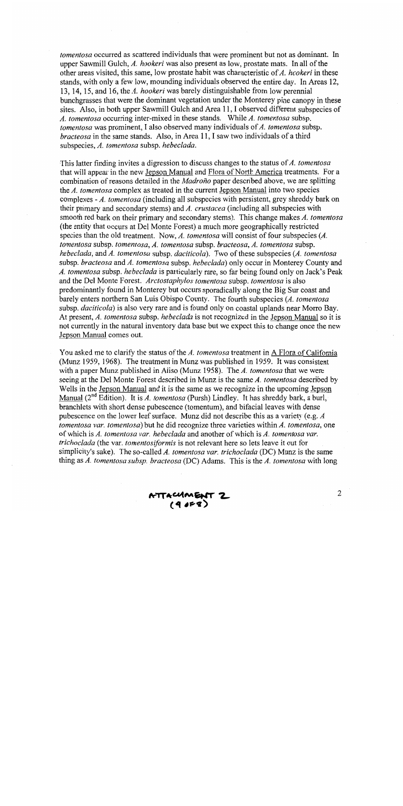tomentosa occurred as scattered individuals that were prominent but not as dominant. In upper Sawmill Gulch, A. hookeri was also present as low, prostate mats. In all of the other areas visited, this same, low prostate habit was characteristic of A. hookeri in these stands, with only a few low, mounding individuals observed the entire day. In Areas 12, 13, 14, 15, and 16, the  $A$ . hookeri was barely distinguishable from low perennial bunchgrasses that were the dominant vegetation under the Monterey pine canopy in these sites. Also, in both upper Sawmill Gulch and Area 11, I observed different subspecies of A. tomentosa occurring inter-mixed in these stands. While A. tomentosa subsp. *tomentosa* was prominent, I also observed many individuals of A. tomentosa subsp. bracteosa in the same stands. Also, in Area 11, I saw two individuals of a third subspecies, A. tomentosa subsp. hebeclada.

This latter finding invites a digression to discuss changes to the status of  $A$ . tomentosa that will appear in the new Jepson Manual and Flora of North America treatments. For a combination of reasons detailed in the *Madroño* paper described above, we are splitting the A. tomentosa complex as treated in the current Jepson Manual into two species complexes - A. tomentosa (including all subspecies with persistent, grey shreddy bark on their primary and secondary stems) and A. crustacea (including all subspecies with smooth red bark on their primary and secondary stems). This change makes A. tomentosa (the entity that occurs at Del Monte Forest) a much more geographically restricted species than the old treatment. Now,  $A$ . tomentosa will consist of four subspecies  $(A)$ . tomentosa subsp. tomentosa, A. tomentosa subsp. bracteosa, A. tomentosa subsp. hebeclada, and A. tomentosa subsp. daciticola). Two of these subspecies (A. tomentosa subsp. bracteosa and A. tomentosa subsp. hebeclada) only occur in Monterey County and A. tomentosa subsp. hebeclada is particularly rare, so far being found only on Jack's Peak and the Del Monte Forest. Arctostaphylos tomentosa subsp. tomentosa is also predominantly found in Monterey but occurs sporadically along the Big Sur coast and barely enters northern San Luis Obispo County. The fourth subspecies (A. tomentosa subsp. *daciticola*) is also very rare and is found only on coastal uplands near Morro Bay. At present, A. tomentosa subsp. hebeclada is not recognized in the Jepson Manual so it is not currently in the natural inventory data base but we expect this to change once the new Jepson Manual comes out.

You asked me to clarify the status of the A. tomentosa treatment in A Flora of California (Munz 1959, 1968). The treatment in Munz was published in 1959. It was consistent with a paper Munz published in Aliso (Munz 1958). The A. tomentosa that we were seeing at the Del Monte Forest described in Munz is the same A. tomentosa described by Wells in the Jepson Manual and it is the same as we recognize in the upcoming Jepson Manual ( $2^{nd}$  Edition). It is A. tomentosa (Pursh) Lindley. It has shreddy bark, a burl, branchlets with short dense pubescence (tomentum), and bifacial leaves with dense pubescence on the lower leaf surface. Munz did not describe this as a variety (e.g. A tomentosa var. tomentosa) but he did recognize three varieties within A. tomentosa, one of which is A. tomentosa var. hebeclada and another of which is A. tomentosa var. trichoclada (the var. tomentosiformis is not relevant here so lets leave it out for simplicity's sake). The so-called A. tomentosa var. trichoclada (DC) Munz is the same thing as A. tomentosa subsp. bracteosa (DC) Adams. This is the A. tomentosa with long

ATTACUMENT 2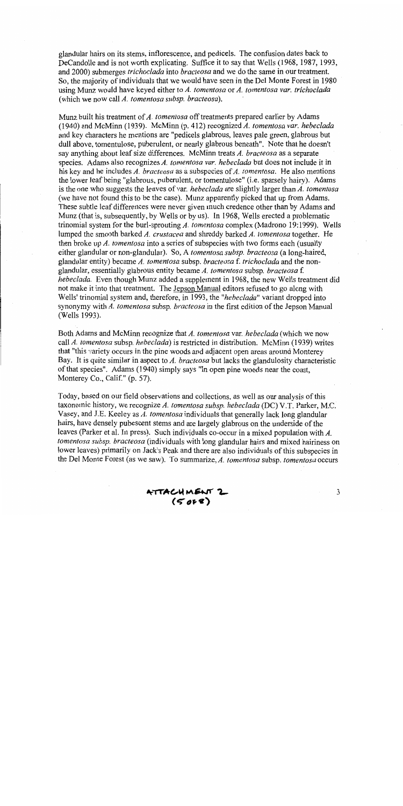glandular hairs on its stems, inflorescence, and pedicels. The confusion dates back to DeCandolle and is not worth explicating. Suffice it to say that Wells (1968, 1987, 1993, and 2000) submerges *trichoclada* into *bracteosa* and we do the same in our treatment. So, the majority of individuals that we would have seen in the Del Monte Forest in 1980 using Munz would have keyed either to A. tomentosa or A. tomentosa var. trichoclada (which we now call A, tomentosa subsp. bracteosa).

Munz built his treatment of A. tomentosa off treatments prepared earlier by Adams (1940) and McMinn (1939). McMinn (p. 412) recognized A. tomentosa var. hebeclada and key characters he mentions are "pedicels glabrous, leaves pale green, glabrous but dull above, tomentulose, puberulent, or nearly glabrous beneath". Note that he doesn't say anything about leaf size differences. McMinn treats A. bracteosa as a separate species. Adams also recognizes A. tomentosa var. hebeclada but does not include it in his key and he includes  $\overline{A}$ . bracteosa as a subspecies of  $\overline{A}$ . tomentosa. He also mentions the lower leaf being "glabrous, puberulent, or tomentulose" (i.e. sparsely hairy). Adams is the one who suggests the leaves of var. *hebeclada* are slightly larger than  $\vec{A}$ . tomentosa (we have not found this to be the case). Munz apparently picked that up from Adams. These subtle leaf differences were never given much credence other than by Adams and Munz (that is, subsequently, by Wells or by us). In 1968, Wells erected a problematic trinomial system for the burl-sprouting A. tomentosa complex (Madrono 19:1999). Wells lumped the smooth barked A. crustacea and shreddy barked A. tomentosa together. He then broke up  $A$ . tomentosa into a series of subspecies with two forms each (usually either glandular or non-glandular). So, A tomentosa subsp. bracteosa (a long-haired, glandular entity) became A. tomentosa subsp. bracteosa f. trichoclada and the nonglandular, essentially glabrous entity became A. tomentosa subsp. bracteosa f. hebeclada. Even though Munz added a supplement in 1968, the new Wells treatment did not make it into that treatment. The Jepson Manual editors refused to go along with Wells' trinomial system and, therefore, in 1993, the "hebeclada" variant dropped into synonymy with A. tomentosa subsp. bracteosa in the first edition of the Jepson Manual (Wells 1993).

Both Adams and McMinn recognize that A. tomentosa var. hebeclada (which we now call A. tomentosa subsp. hebeclada) is restricted in distribution. McMinn (1939) writes that "this variety occurs in the pine woods and adjacent open areas around Monterey Bay. It is quite similar in aspect to  $A$ . bracteosa but lacks the glandulosity characteristic of that species". Adams (1940) simply says "In open pine woods near the coast, Monterey Co., Calif." (p. 57).

Today, based on our field observations and collections, as well as our analysis of this taxonomic history, we recognize A. tomentosa subsp. hebeclada (DC) V.T. Parker, M.C. Vasey, and J.E. Keeley as  $\vec{A}$ . tomentosa individuals that generally lack long glandular hairs, have densely pubescent stems and are largely glabrous on the underside of the leaves (Parker et al. In press). Such individuals co-occur in a mixed population with  $A$ . tomentosa subsp. bracteosa (individuals with long glandular hairs and mixed hairiness on lower leaves) primarily on Jack's Peak and there are also individuals of this subspecies in the Del Monte Forest (as we saw). To summarize, A. tomentosa subsp. tomentosa occurs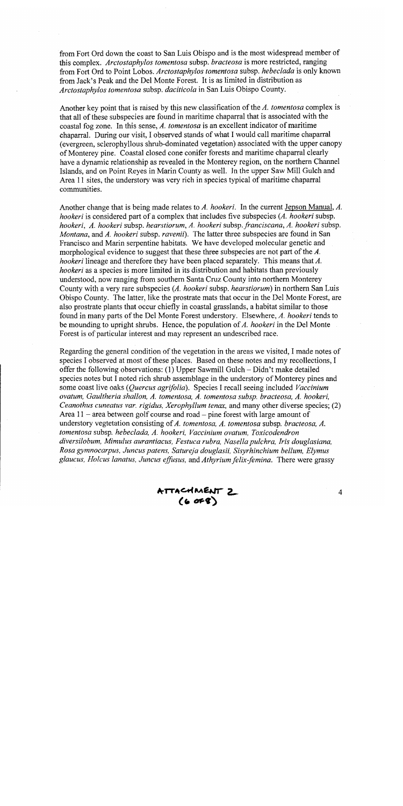from Fort Ord down the coast to San Luis Obispo and is the most widespread member of this complex. Arctostaphylos tomentosa subsp. bracteosa is more restricted, ranging from Fort Ord to Point Lobos. Arctostaphylos tomentosa subsp. hebeclada is only known from Jack's Peak and the Del Monte Forest. It is as limited in distribution as Arctostaphylos tomentosa subsp. daciticola in San Luis Obispo County.

Another key point that is raised by this new classification of the A. tomentosa complex is that all of these subspecies are found in maritime chaparral that is associated with the coastal fog zone. In this sense, A. tomentosa is an excellent indicator of maritime chaparral. During our visit, I observed stands of what I would call maritime chaparral (evergreen, sclerophyllous shrub-dominated vegetation) associated with the upper canopy of Monterey pine. Coastal closed cone conifer forests and maritime chaparral clearly have a dynamic relationship as revealed in the Monterey region, on the northern Channel Islands, and on Point Reyes in Marin County as well. In the upper Saw Mill Gulch and Area 11 sites, the understory was very rich in species typical of maritime chaparral communities.

Another change that is being made relates to A. hookeri. In the current Jepson Manual, A. hookeri is considered part of a complex that includes five subspecies (A. hookeri subsp. hookeri, A. hookeri subsp. hearstiorum, A. hookeri subsp. franciscana, A. hookeri subsp. Montana, and A. hookeri subsp. ravenii). The latter three subspecies are found in San Francisco and Marin serpentine habitats. We have developed molecular genetic and morphological evidence to suggest that these three subspecies are not part of the A. hookeri lineage and therefore they have been placed separately. This means that  $A$ . hookeri as a species is more limited in its distribution and habitats than previously understood, now ranging from southern Santa Cruz County into northern Monterey County with a very rare subspecies (A. hookeri subsp. hearstiorum) in northern San Luis Obispo County. The latter, like the prostrate mats that occur in the Del Monte Forest, are also prostrate plants that occur chiefly in coastal grasslands, a habitat similar to those found in many parts of the Del Monte Forest understory. Elsewhere, A. hookeri tends to be mounding to upright shrubs. Hence, the population of A. hookeri in the Del Monte Forest is of particular interest and may represent an undescribed race.

Regarding the general condition of the vegetation in the areas we visited, I made notes of species I observed at most of these places. Based on these notes and my recollections, I offer the following observations:  $(1)$  Upper Sawmill Gulch - Didn't make detailed species notes but I noted rich shrub assemblage in the understory of Monterey pines and some coast live oaks (Quercus agrifolia). Species I recall seeing included Vaccinium ovatum, Gaultheria shallon, A. tomentosa, A. tomentosa subsp. bracteosa, A. hookeri, Ceanothus cuneatus var. rigidus, Xerophyllum tenax, and many other diverse species; (2) Area  $11$  – area between golf course and road – pine forest with large amount of understory vegtetation consisting of A. tomentosa, A. tomentosa subsp. bracteosa, A. tomentosa subsp. hebeclada, A. hookeri, Vaccinium ovatum, Toxicodendron diversilobum, Mimulus aurantiacus, Festuca rubra, Nasella pulchra, Iris douglasiana, Rosa gymnocarpus, Juncus patens, Satureja douglasii, Sisyrhinchium bellum, Elymus glaucus, Holcus lanatus, Juncus effusus, and Athyrium felix-femina. There were grassy

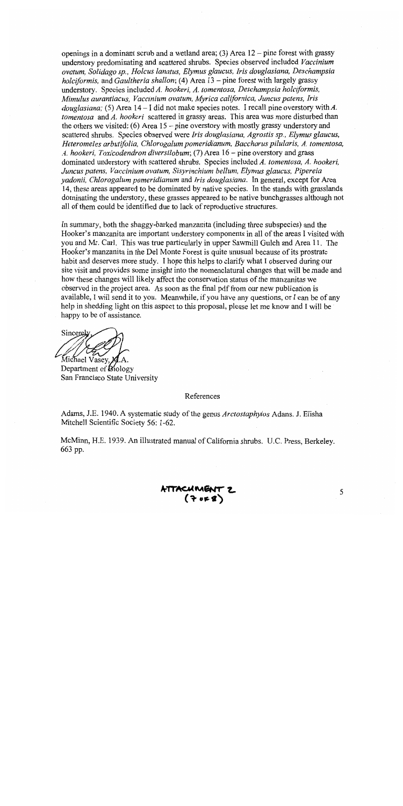openings in a dominant scrub and a wetland area; (3) Area  $12$  – pine forest with grassy understory predominating and scattered shrubs. Species observed included Vaccinium ovatum. Solidago sp., Holcus lanatus, Elymus glaucus, Iris douglasiana, Deschampsia holciformis, and Gaultheria shallon; (4) Area  $13$  – pine forest with largely grassy understory. Species included A. hookeri, A. tomentosa, Deschampsia holciformis, Mimulus aurantiacus, Vaccinium ovatum, Myrica californica, Juncus patens, Iris *douglasiana*; (5) Area  $14 - I$  did not make species notes. I recall pine overstory with A. tomentosa and  $A$ . hookeri scattered in grassy areas. This area was more disturbed than the others we visited; (6) Area  $15$  – pine overstory with mostly grassy understory and scattered shrubs. Species observed were Iris douglasiana, Agrostis sp., Elymus glaucus, Heteromeles arbutifolia, Chlorogalum pomeridianum, Baccharus pilularis, A. tomentosa, A. hookeri, Toxicodendron diversilobum; (7) Area 16 – pine overstory and grass dominated understory with scattered shrubs. Species included A. tomentosa, A. hookeri, Juncus patens, Vaccinium ovatum, Sisyrinchium bellum, Elymus glaucus, Pipereia yadonii, Chlorogalum pomeridianum and Iris douglasiana. In general, except for Area 14, these areas appeared to be dominated by native species. In the stands with grasslands dominating the understory, these grasses appeared to be native bunchgrasses although not all of them could be identified due to lack of reproductive structures.

In summary, both the shaggy-barked manzanita (including three subspecies) and the Hooker's manzanita are important understory components in all of the areas I visited with you and Mr. Carl. This was true particularly in upper Sawmill Gulch and Area 11. The Hooker's manzanita in the Del Monte Forest is quite unusual because of its prostrate habit and deserves more study. I hope this helps to clarify what I observed during our site visit and provides some insight into the nomenclatural changes that will be made and how these changes will likely affect the conservation status of the manzanitas we observed in the project area. As soon as the final pdf from our new publication is available, I will send it to you. Meanwhile, if you have any questions, or I can be of any help in shedding light on this aspect to this proposal, please let me know and I will be happy to be of assistance.

Sincerely Michael Vasev, K

Department of Biology San Francisco State University

### References

Adams, J.E. 1940. A systematic study of the genus Arctostaphylos Adans. J. Elisha Mitchell Scientific Society 56: 1-62.

McMinn, H.E. 1939. An illustrated manual of California shrubs. U.C. Press, Berkeley. 663 pp.